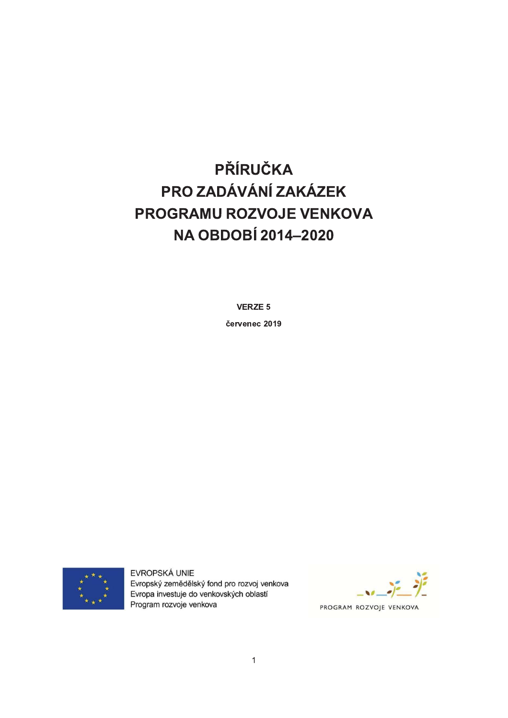# PŘÍRUČKA PRO ZADÁVÁNÍ ZAKÁZEK PROGRAMU ROZVOJE VENKOVA **NA OBDOBÍ 2014-2020**

**VERZE 5** 

červenec 2019



EVROPSKÁ UNIE Evropský zemědělský fond pro rozvoj venkova Evropa investuje do venkovských oblastí Program rozvoje venkova

PROGRAM ROZVOJE VENKOVA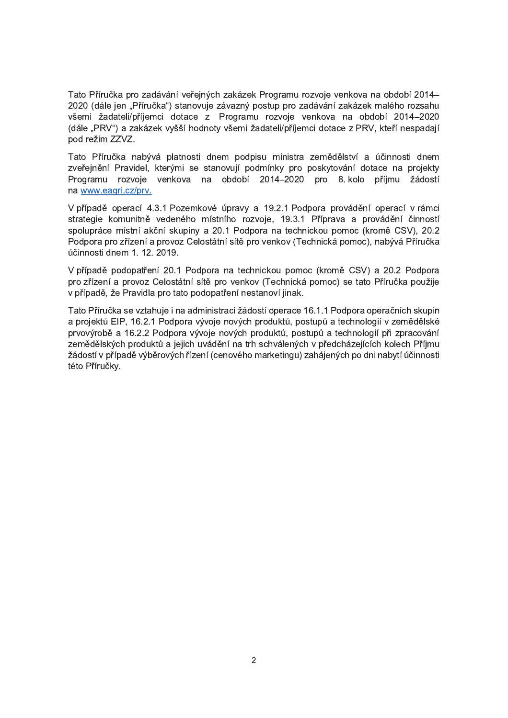Tato Příručka pro zadávání veřejných zakázek Programu rozvoje venkova na období 2014– 2020 (dále jen "Příručka") stanovuje závazný postup pro zadávání zakázek malého rozsahu všemi žadateli/příjemci dotace z Programu rozvoje venkova na období 2014–2020 (dále "PRV") a zakázek vyšší hodnoty všemi žadateli/příjemci dotace z PRV, kteří nespadají pod režim ZZVZ.

Tato Příručka nabývá platnosti dnem podpisu ministra zemědělství a účinnosti dnem zveřejnění Pravidel, kterými se stanovují podmínky pro poskytování dotace na projekty Programu rozvoje venkova na období 2014–2020 pro 8. kolo příjmu žádostí na www.eagri.cz/prv.

V případě operací 4.3.1 Pozemkové úpravy a 19.2.1 Podpora provádění operací v rámci strategie komunitně vedeného místního rozvoje, 19.3.1 Příprava a provádění činností spolupráce místní akční skupiny a 20.1 Podpora na technickou pomoc (kromě CSV), 20.2 Podpora pro zřízení a provoz Celostátní sítě pro venkov (Technická pomoc), nabývá Příručka účinnosti dnem 1. 12. 2019.

V případě podopatření 20.1 Podpora na technickou pomoc (kromě CSV) a 20.2 Podpora pro zřízení a provoz Celostátní sítě pro venkov (Technická pomoc) se tato Příručka použije v případě, že Pravidla pro tato podopatření nestanoví jinak.

Tato Příručka se vztahuje i na administraci žádostí operace 16.1.1 Podpora operačních skupin a projektů EIP, 16.2.1 Podpora vývoje nových produktů, postupů a technologií v zemědělské prvovýrobě a 16.2.2 Podpora vývoje nových produktů, postupů a technologií při zpracování zemědělských produktů a jejich uvádění na trh schválených v předcházejících kolech Příjmu žádostí v případě výběrových řízení (cenového marketingu) zahájených po dni nabytí účinnosti této Příručky.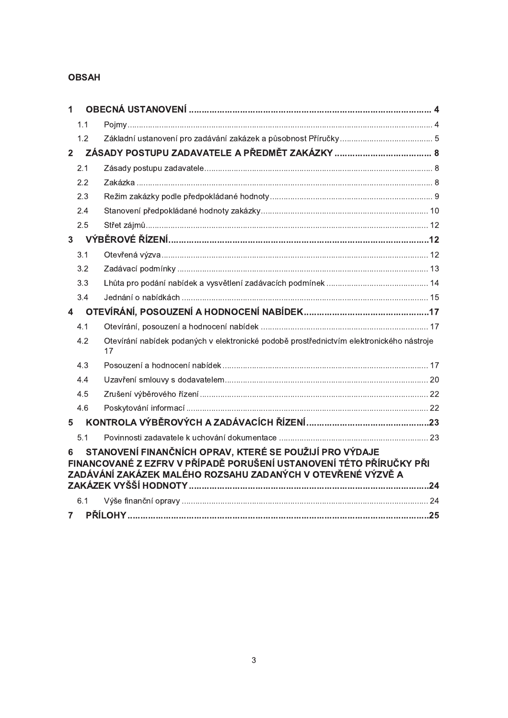# **OBSAH**

| $\mathbf{1}$            |     |                                                                                                                                                                                               |  |  |
|-------------------------|-----|-----------------------------------------------------------------------------------------------------------------------------------------------------------------------------------------------|--|--|
|                         | 1.1 |                                                                                                                                                                                               |  |  |
|                         | 1.2 |                                                                                                                                                                                               |  |  |
| $\overline{2}$          |     |                                                                                                                                                                                               |  |  |
|                         | 2.1 |                                                                                                                                                                                               |  |  |
|                         | 2.2 |                                                                                                                                                                                               |  |  |
|                         | 2.3 |                                                                                                                                                                                               |  |  |
|                         | 2.4 |                                                                                                                                                                                               |  |  |
|                         | 2.5 |                                                                                                                                                                                               |  |  |
| $\overline{3}$          |     |                                                                                                                                                                                               |  |  |
|                         | 3.1 |                                                                                                                                                                                               |  |  |
|                         | 3.2 |                                                                                                                                                                                               |  |  |
|                         | 3.3 |                                                                                                                                                                                               |  |  |
|                         | 3.4 |                                                                                                                                                                                               |  |  |
| $\overline{\mathbf{4}}$ |     |                                                                                                                                                                                               |  |  |
|                         | 4.1 |                                                                                                                                                                                               |  |  |
|                         | 4.2 | Otevírání nabídek podaných v elektronické podobě prostřednictvím elektronického nástroje<br>17                                                                                                |  |  |
|                         | 4.3 |                                                                                                                                                                                               |  |  |
|                         | 4.4 |                                                                                                                                                                                               |  |  |
|                         | 4.5 |                                                                                                                                                                                               |  |  |
|                         | 4.6 |                                                                                                                                                                                               |  |  |
| 5                       |     |                                                                                                                                                                                               |  |  |
|                         | 5.1 |                                                                                                                                                                                               |  |  |
| 6                       |     | STANOVENÍ FINANČNÍCH OPRAV, KTERÉ SE POUŽIJÍ PRO VÝDAJE<br>FINANCOVANÉ Z EZFRV V PŘÍPADĚ PORUŠENÍ USTANOVENÍ TÉTO PŘÍRUČKY PŘI<br>ZADÁVÁNÍ ZAKÁZEK MALÉHO ROZSAHU ZADANÝCH V OTEVŘENÉ VÝZVĚ A |  |  |
|                         |     |                                                                                                                                                                                               |  |  |
|                         | 6.1 |                                                                                                                                                                                               |  |  |
| $\overline{7}$          |     |                                                                                                                                                                                               |  |  |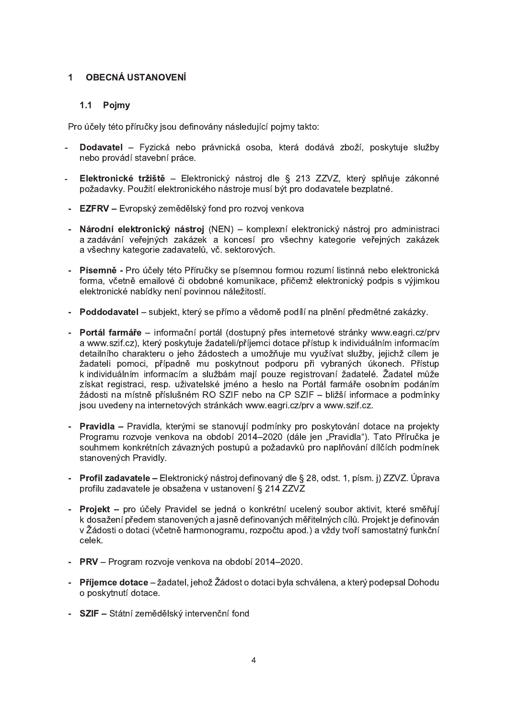#### **OBECNÁ USTANOVENÍ**  $\mathbf{1}$

# 1.1 Pojmy

Pro účely této příručky jsou definovány následující pojmy takto:

- Dodavatel Fyzická nebo právnická osoba, která dodává zboží, poskytuje služby nebo provádí stavební práce.
- Elektronické tržiště Elektronický nástroj dle § 213 ZZVZ, který splňuje zákonné  $\sim$ požadavky. Použití elektronického nástroje musí být pro dodavatele bezplatné.
- EZFRV Evropský zemědělský fond pro rozvoj venkova
- Národní elektronický nástroj (NEN) komplexní elektronický nástroj pro administraci a zadávání veřejných zakázek a koncesí pro všechny kategorie veřejných zakázek a všechny kategorie zadavatelů, vč. sektorových.
- Písemně Pro účely této Příručky se písemnou formou rozumí listinná nebo elektronická forma, včetně emailové či obdobné komunikace, přičemž elektronický podpis s výjimkou elektronické nabídky není povinnou náležitostí.
- Poddodavatel subjekt, který se přímo a vědomě podílí na plnění předmětné zakázky.
- Portál farmáře informační portál (dostupný přes internetové stránky www.eagri.cz/prv a www.szif.cz), který poskytuje žadateli/příjemci dotace přístup k individuálním informacím detailního charakteru o jeho žádostech a umožňuje mu využívat služby, jejichž cílem je žadateli pomoci, případně mu poskytnout podporu při vybraných úkonech. Přístup k individuálním informacím a službám mají pouze registrovaní žadatelé. Žadatel může získat registraci, resp. uživatelské jméno a heslo na Portál farmáře osobním podáním žádosti na místně příslušném RO SZIF nebo na CP SZIF - bližší informace a podmínky jsou uvedeny na internetových stránkách www.eagri.cz/prv a www.szif.cz.
- Pravidla Pravidla, kterými se stanovují podmínky pro poskytování dotace na projekty Programu rozvoje venkova na období 2014-2020 (dále jen "Pravidla"). Tato Příručka je souhrnem konkrétních závazných postupů a požadavků pro naplňování dílčích podmínek stanovených Pravidly.
- Profil zadavatele Elektronický nástroj definovaný dle § 28, odst. 1, písm. j) ZZVZ. Úprava profilu zadavatele je obsažena v ustanovení § 214 ZZVZ
- Projekt pro účely Pravidel se jedná o konkrétní ucelený soubor aktivit, které směřují k dosažení předem stanovených a jasně definovaných měřitelných cílů. Projekt je definován v Žádosti o dotaci (včetně harmonogramu, rozpočtu apod.) a vždy tvoří samostatný funkční celek.
- PRV Program rozvoje venkova na období 2014–2020.
- Příjemce dotace žadatel, jehož Žádost o dotaci byla schválena, a který podepsal Dohodu o poskytnutí dotace.
- SZIF Státní zemědělský intervenční fond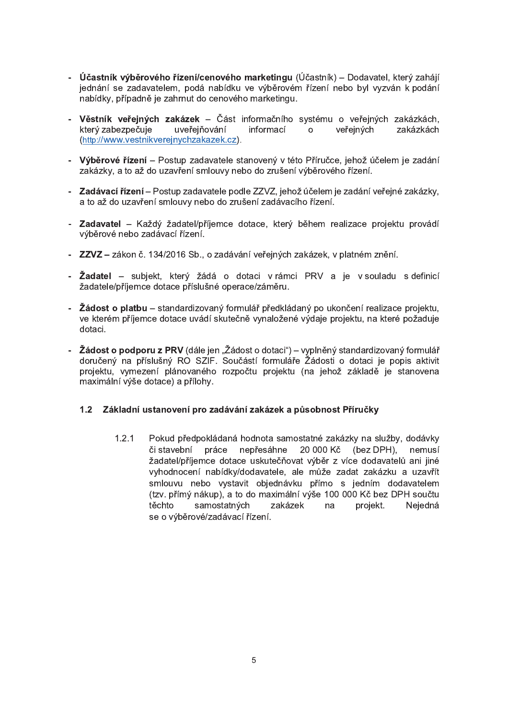- Účastník výběrového řízení/cenového marketingu (Účastník) Dodavatel, který zahájí jednání se zadavatelem, podá nabídku ve výběrovém řízení nebo byl vyzván k podání nabídky, případně je zahrnut do cenového marketingu.
- Věstník veřejných zakázek Část informačního systému o veřejných zakázkách. který zabezpečuje uveřejňování informací o veřeiných zakázkách (http://www.vestnikverejnychzakazek.cz).
- Výběrové řízení Postup zadavatele stanovený v této Příručce, jehož účelem je zadání zakázky, a to až do uzavření smlouvy nebo do zrušení výběrového řízení.
- Zadávací řízení Postup zadavatele podle ZZVZ, jehož účelem je zadání veřejné zakázky, a to až do uzavření smlouvy nebo do zrušení zadávacího řízení.
- Zadavatel Každý žadatel/příjemce dotace, který během realizace projektu provádí výběrové nebo zadávací řízení.
- ZZVZ zákon č. 134/2016 Sb., o zadávání veřejných zakázek, v platném znění.
- Žadatel subjekt, který žádá o dotaci v rámci PRV a je v souladu s definicí žadatele/příjemce dotace příslušné operace/záměru.
- Žádost o platbu standardizovaný formulář předkládaný po ukončení realizace projektu, ve kterém příjemce dotace uvádí skutečně vynaložené výdaje projektu, na které požaduje dotaci.
- Žádost o podporu z PRV (dále jen "Žádost o dotaci") vyplněný standardizovaný formulář doručený na příslušný RO SZIF. Součástí formuláře Žádosti o dotaci je popis aktivit projektu, vymezení plánovaného rozpočtu projektu (na jehož základě je stanovena maximální výše dotace) a přílohy.

#### $1.2$ Základní ustanovení pro zadávání zakázek a působnost Příručky

Pokud předpokládaná hodnota samostatné zakázky na služby, dodávky  $1.2.1$ či stavební práce nepřesáhne 20 000 Kč (bez DPH), nemusí žadatel/příjemce dotace uskutečňovat výběr z více dodavatelů ani jiné vyhodnocení nabídky/dodavatele, ale může zadat zakázku a uzavřít smlouvu nebo vystavit objednávku přímo s jedním dodavatelem (tzv. přímý nákup), a to do maximální výše 100 000 Kč bez DPH součtu samostatných těchto zakázek na projekt. Neiedná se o výběrové/zadávací řízení.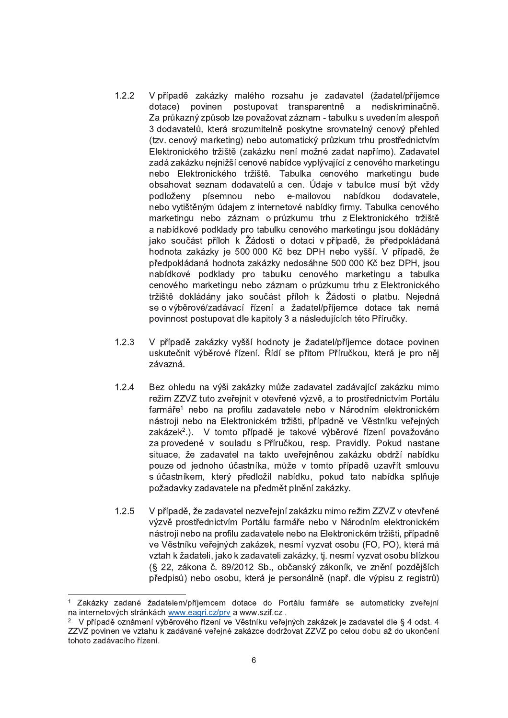- $1.2.2$ V případě zakázky malého rozsahu je zadavatel (žadatel/příjemce povinen postupovat transparentně a nediskriminačně. dotace) Za průkazný způsob lze považovat záznam - tabulku s uvedením alespoň 3 dodavatelů, která srozumitelně poskytne srovnatelný cenový přehled (tzv. cenový marketing) nebo automatický průzkum trhu prostřednictvím Elektronického tržiště (zakázku není možné zadat napřímo). Zadavatel zadá zakázku nejnižší cenové nabídce vyplývající z cenového marketingu nebo Elektronického tržiště. Tabulka cenového marketingu bude obsahovat seznam dodavatelů a cen. Údaje v tabulce musí být vždy podloženy písemnou nebo e-mailovou nabídkou dodavatele. nebo vytištěným údajem z internetové nabídky firmy. Tabulka cenového marketingu nebo záznam o průzkumu trhu z Elektronického tržiště a nabídkové podklady pro tabulku cenového marketingu jsou dokládány jako součást příloh k Žádosti o dotaci v případě, že předpokládaná hodnota zakázky je 500 000 Kč bez DPH nebo vyšší. V případě, že předpokládaná hodnota zakázky nedosáhne 500 000 Kč bez DPH, jsou nabídkové podklady pro tabulku cenového marketingu a tabulka cenového marketingu nebo záznam o průzkumu trhu z Elektronického tržiště dokládány jako součást příloh k Žádosti o platbu. Nejedná se o výběrové/zadávací řízení a žadatel/příjemce dotace tak nemá povinnost postupovat dle kapitoly 3 a následujících této Příručky.
- $1.2.3$ V případě zakázky vyšší hodnoty je žadatel/příjemce dotace povinen uskutečnit výběrové řízení. Řídí se přitom Příručkou, která je pro něj závazná.
- $1.2.4$ Bez ohledu na výši zakázky může zadavatel zadávající zakázku mimo režim ZZVZ tuto zveřejnit v otevřené výzvě, a to prostřednictvím Portálu farmáře<sup>1</sup> nebo na profilu zadavatele nebo v Národním elektronickém nástroji nebo na Elektronickém tržišti, případně ve Věstníku veřejných zakázek<sup>2</sup>.). V tomto případě je takové výběrové řízení považováno za provedené v souladu s Příručkou, resp. Pravidly. Pokud nastane situace, že zadavatel na takto uveřejněnou zakázku obdrží nabídku pouze od jednoho účastníka, může v tomto případě uzavřít smlouvu s účastníkem, který předložil nabídku, pokud tato nabídka splňuje požadavky zadavatele na předmět plnění zakázky.
- $1.2.5$ V případě, že zadavatel nezveřejní zakázku mimo režim ZZVZ v otevřené výzvě prostřednictvím Portálu farmáře nebo v Národním elektronickém nástroji nebo na profilu zadavatele nebo na Elektronickém tržišti, případně ve Věstníku veřejných zakázek, nesmí vyzvat osobu (FO, PO), která má vztah k žadateli, jako k zadavateli zakázky, tj. nesmí vyzvat osobu blízkou (§ 22. zákona č. 89/2012 Sb., občanský zákoník, ve znění pozdějších předpisů) nebo osobu, která je personálně (např. dle výpisu z registrů)

Zakázky zadané žadatelem/příjemcem dotace do Portálu farmáře se automaticky zveřejní na internetových stránkách www.eagri.cz/prv a www.szif.cz.

V případě oznámení výběrového řízení ve Věstníku veřejných zakázek je zadavatel dle § 4 odst. 4 ZZVZ povinen ve vztahu k zadávané veřejné zakázce dodržovat ZZVZ po celou dobu až do ukončení tohoto zadávacího řízení.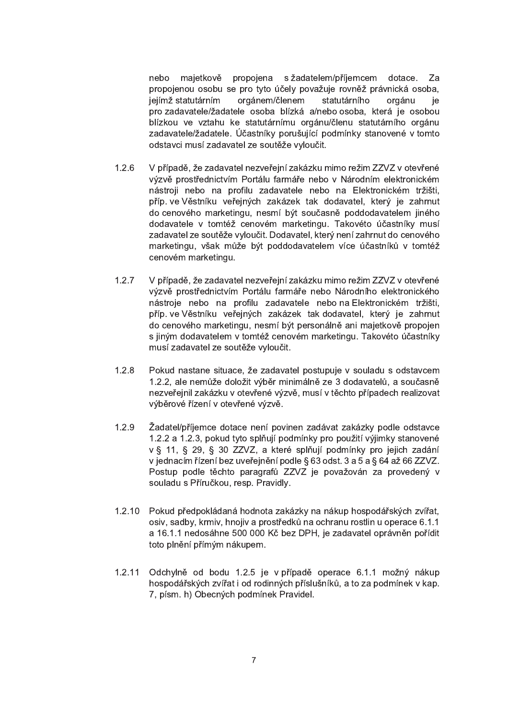majetkově propojena s žadatelem/příjemcem dotace. Za nebo propojenou osobu se pro tyto účely považuje rovněž právnická osoba, jejímž statutárním orgánem/členem statutárního orgánu ie pro zadavatele/žadatele osoba blízká a/nebo osoba, která je osobou blízkou ve vztahu ke statutárnímu orgánu/členu statutárního orgánu zadavatele/žadatele. Účastníky porušující podmínky stanovené v tomto odstavci musí zadavatel ze soutěže vyloučit.

- $1.2.6$ V případě, že zadavatel nezveřejní zakázku mimo režim ZZVZ v otevřené výzvě prostřednictvím Portálu farmáře nebo v Národním elektronickém nástroji nebo na profilu zadavatele nebo na Elektronickém tržišti, příp. ve Věstníku veřejných zakázek tak dodavatel, který je zahrnut do cenového marketingu, nesmí být současně poddodavatelem jiného dodavatele v tomtéž cenovém marketingu. Takovéto účastníky musí zadavatel ze soutěže vyloučit. Dodavatel, který není zahrnut do cenového marketingu, však může být poddodavatelem více účastníků v tomtéž cenovém marketingu.
- $1.2.7$ V případě, že zadavatel nezveřejní zakázku mimo režim ZZVZ v otevřené výzvě prostřednictvím Portálu farmáře nebo Národního elektronického nástroje nebo na profilu zadavatele nebo na Elektronickém tržišti, příp. ve Věstníku veřejných zakázek tak dodavatel, který je zahrnut do cenového marketingu, nesmí být personálně ani majetkově propojen s jiným dodavatelem v tomtéž cenovém marketingu. Takovéto účastníky musí zadavatel ze soutěže vyloučit.
- $1.2.8$ Pokud nastane situace, že zadavatel postupuje v souladu s odstavcem 1.2.2, ale nemůže doložit výběr minimálně ze 3 dodavatelů, a současně nezveřejnil zakázku v otevřené výzvě, musí v těchto případech realizovat výběrové řízení v otevřené výzvě.
- $1.2.9$ Žadatel/příjemce dotace není povinen zadávat zakázky podle odstavce 1.2.2 a 1.2.3, pokud tyto splňují podmínky pro použití výjimky stanovené v § 11, § 29, § 30 ZZVZ, a které splňují podmínky pro jejich zadání v jednacím řízení bez uveřejnění podle § 63 odst. 3 a 5 a § 64 až 66 ZZVZ. Postup podle těchto paragrafů ZZVZ je považován za provedený v souladu s Příručkou, resp. Pravidly.
- $1.2.10$ Pokud předpokládaná hodnota zakázky na nákup hospodářských zvířat, osiv, sadby, krmiv, hnojiv a prostředků na ochranu rostlin u operace 6.1.1 a 16.1.1 nedosáhne 500 000 Kč bez DPH, je zadavatel oprávněn pořídit toto plnění přímým nákupem.
- Odchylně od bodu 1.2.5 je v případě operace 6.1.1 možný nákup  $1.2.11$ hospodářských zvířat i od rodinných příslušníků, a to za podmínek v kap. 7, písm. h) Obecných podmínek Pravidel.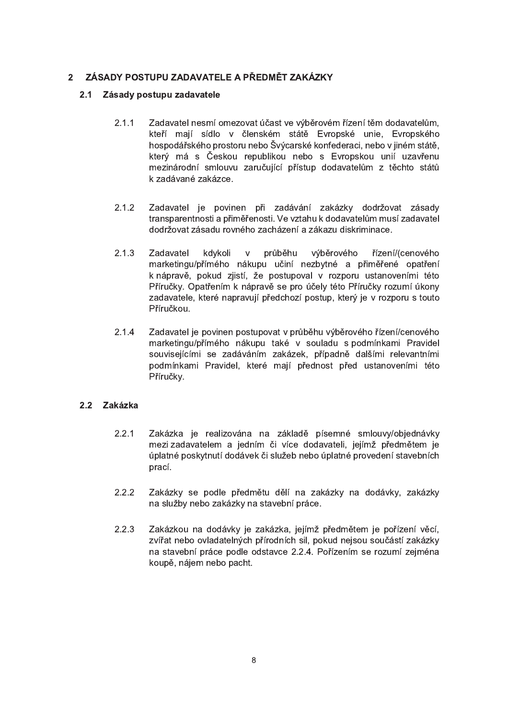#### ZÁSADY POSTUPU ZADAVATELE A PŘEDMĚT ZAKÁZKY  $2<sup>1</sup>$

#### $2.1$ Zásady postupu zadavatele

- $2.1.1$ Zadavatel nesmí omezovat účast ve výběrovém řízení těm dodavatelům, kteří mají sídlo v členském státě Evropské unie, Evropského hospodářského prostoru nebo Švýcarské konfederaci, nebo v jiném státě. který má s Českou republikou nebo s Evropskou unií uzavřenu mezinárodní smlouvu zaručující přístup dodavatelům z těchto států k zadávané zakázce.
- $2.1.2$ Zadavatel je povinen při zadávání zakázky dodržovat zásady transparentnosti a přiměřenosti. Ve vztahu k dodavatelům musí zadavatel dodržovat zásadu rovného zacházení a zákazu diskriminace.
- $2.1.3$ Zadavatel kdykoli  $\mathsf{V}$ průběhu výběrového řízení/(cenového marketingu/přímého nákupu učiní nezbytné a přiměřené opatření k nápravě, pokud zjistí, že postupoval v rozporu ustanoveními této Příručky. Opatřením k nápravě se pro účely této Příručky rozumí úkony zadavatele, které napravují předchozí postup, který je v rozporu s touto Příručkou.
- $2.1.4$ Zadavatel je povinen postupovat v průběhu výběrového řízení/cenového marketingu/přímého nákupu také v souladu s podmínkami Pravidel souvisejícími se zadáváním zakázek, případně dalšími relevantními podmínkami Pravidel, které mají přednost před ustanoveními této Příručky.

# 2.2 Zakázka

- $2.2.1$ Zakázka je realizována na základě písemné smlouvy/objednávky mezi zadavatelem a jedním či více dodavateli, jejímž předmětem je úplatné poskytnutí dodávek či služeb nebo úplatné provedení stavebních prací.
- $2.2.2$ Zakázky se podle předmětu dělí na zakázky na dodávky, zakázky na služby nebo zakázky na stavební práce.
- 2.2.3 Zakázkou na dodávky je zakázka, jejímž předmětem je pořízení věcí, zvířat nebo ovladatelných přírodních sil, pokud nejsou součástí zakázky na stavební práce podle odstavce 2.2.4. Pořízením se rozumí zejména koupě, nájem nebo pacht.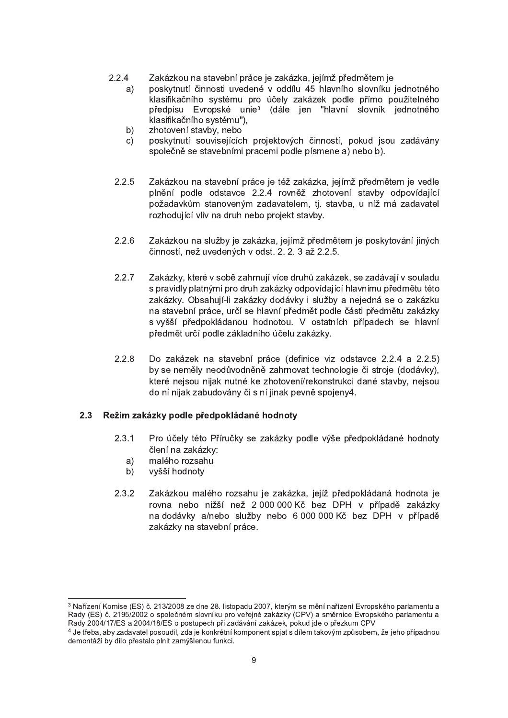- $2.2.4$ Zakázkou na stavební práce je zakázka, jejímž předmětem je
	- poskytnutí činnosti uvedené v oddílu 45 hlavního slovníku jednotného  $a)$ klasifikačního systému pro účely zakázek podle přímo použitelného předpisu Evropské unie<sup>3</sup> (dále ien "hlavní slovník jednotného klasifikačního systému"),
	- zhotovení stavby, nebo  $b)$
	- poskytnutí souvisejících projektových činností, pokud jsou zadávány  $\mathsf{C}$ společně se stavebními pracemi podle písmene a) nebo b).
	- $2.2.5$ Zakázkou na stavební práce je též zakázka, jejímž předmětem je vedle plnění podle odstavce 2.2.4 rovněž zhotovení stavby odpovídající požadavkům stanoveným zadavatelem, tj. stavba, u níž má zadavatel rozhodující vliv na druh nebo projekt stavby.
	- $2.2.6$ Zakázkou na služby je zakázka, jejímž předmětem je poskytování jiných činností, než uvedených v odst. 2. 2. 3 až 2.2.5.
	- $2.2.7$ Zakázky, které v sobě zahrnují více druhů zakázek, se zadávají v souladu s pravidly platnými pro druh zakázky odpovídající hlavnímu předmětu této zakázky. Obsahují-li zakázky dodávky i služby a nejedná se o zakázku na stavební práce, určí se hlavní předmět podle části předmětu zakázky s vyšší předpokládanou hodnotou. V ostatních případech se hlavní předmět určí podle základního účelu zakázky.
	- $2.2.8$ Do zakázek na stavební práce (definice viz odstavce 2.2.4 a 2.2.5) by se neměly neodůvodněně zahrnovat technologie či stroje (dodávky), které nejsou nijak nutné ke zhotovení/rekonstrukci dané stavby, nejsou do ní nijak zabudovány či s ní jinak pevně spojeny4.

# 2.3 Režim zakázky podle předpokládané hodnoty

- $2.3.1$ Pro účely této Příručky se zakázky podle výše předpokládané hodnoty člení na zakázky:
	- malého rozsahu a)
	- vyšší hodnoty b)
- $2.3.2$ Zakázkou malého rozsahu je zakázka, jejíž předpokládaná hodnota je rovna nebo nižší než 2 000 000 Kč bez DPH v případě zakázky na dodávky a/nebo služby nebo 6 000 000 Kč bez DPH v případě zakázky na stavební práce.

<sup>&</sup>lt;sup>3</sup> Nařízení Komise (ES) č. 213/2008 ze dne 28. listopadu 2007, kterým se mění nařízení Evropského parlamentu a Rady (ES) č. 2195/2002 o společném slovníku pro veřejné zakázky (CPV) a směrnice Evropského parlamentu a Rady 2004/17/ES a 2004/18/ES o postupech při zadávání zakázek, pokud jde o přezkum CPV

<sup>4</sup> Je třeba, aby zadavatel posoudil, zda je konkrétní komponent spiat s dílem takovým způsobem, že jeho případnou demontáží by dílo přestalo plnit zamýšlenou funkci.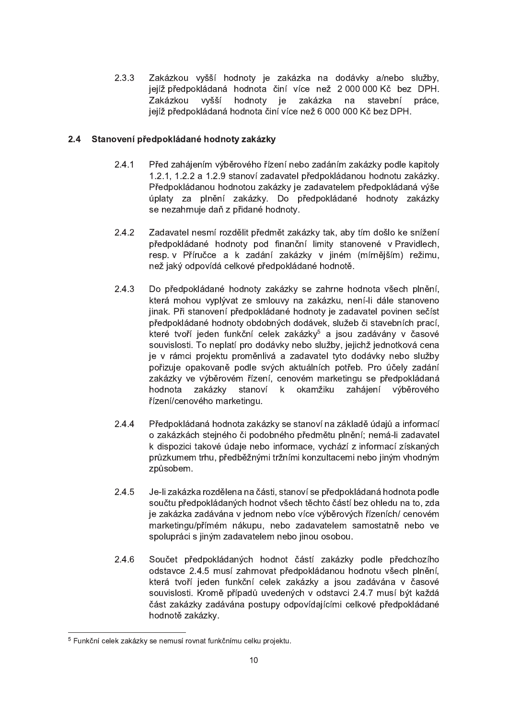$2.3.3$ Zakázkou vyšší hodnoty je zakázka na dodávky a/nebo služby, jejíž předpokládaná hodnota činí více než 2 000 000 Kč bez DPH. Zakázkou vvšší hodnoty ie zakázka na stavební práce. jejíž předpokládaná hodnota činí více než 6 000 000 Kč bez DPH.

#### Stanovení předpokládané hodnoty zakázky  $2.4$

- $2.4.1$ Před zahájením výběrového řízení nebo zadáním zakázky podle kapitoly 1.2.1, 1.2.2 a 1.2.9 stanoví zadavatel předpokládanou hodnotu zakázky. Předpokládanou hodnotou zakázky je zadavatelem předpokládaná výše úplaty za plnění zakázky. Do předpokládané hodnoty zakázky se nezahrnuje daň z přidané hodnoty.
- 242 Zadavatel nesmí rozdělit předmět zakázky tak, aby tím došlo ke snížení předpokládané hodnoty pod finanční limity stanovené v Pravidlech, resp. v Příručce a k zadání zakázky v jiném (mírnějším) režimu, než jaký odpovídá celkové předpokládané hodnotě.
- $2.4.3$ Do předpokládané hodnoty zakázky se zahrne hodnota všech plnění. která mohou vyplývat ze smlouvy na zakázku, není-li dále stanoveno jinak. Při stanovení předpokládané hodnoty je zadavatel povinen sečíst předpokládané hodnoty obdobných dodávek, služeb či stavebních prací. které tvoří jeden funkční celek zakázky<sup>5</sup> a jsou zadávány v časové souvislosti. To neplatí pro dodávky nebo služby, jejichž jednotková cena je v rámci projektu proměnlivá a zadavatel tyto dodávky nebo služby pořizuje opakovaně podle svých aktuálních potřeb. Pro účely zadání zakázky ve výběrovém řízení, cenovém marketingu se předpokládaná hodnota zakázkv stanoví k okamžiku zahájení výběrového řízení/cenového marketingu.
- $2.4.4$ Předpokládaná hodnota zakázky se stanoví na základě údajů a informací o zakázkách stejného či podobného předmětu plnění: nemá-li zadavatel k dispozici takové údaje nebo informace, vychází z informací získaných průzkumem trhu, předběžnými tržními konzultacemi nebo jiným vhodným způsobem.
- 2.4.5 Je-li zakázka rozdělena na části, stanoví se předpokládaná hodnota podle součtu předpokládaných hodnot všech těchto částí bez ohledu na to, zda je zakázka zadávána v jednom nebo více výběrových řízeních/ cenovém marketingu/přímém nákupu, nebo zadavatelem samostatně nebo ve spolupráci s jiným zadavatelem nebo jinou osobou.
- $2.4.6$ Součet předpokládaných hodnot částí zakázky podle předchozího odstavce 2.4.5 musí zahrnovat předpokládanou hodnotu všech plnění, která tvoří jeden funkční celek zakázky a jsou zadávána v časové souvislosti. Kromě případů uvedených v odstavci 2.4.7 musí být každá část zakázky zadávána postupy odpovídajícími celkové předpokládané hodnotě zakázky.

<sup>&</sup>lt;sup>5</sup> Funkční celek zakázky se nemusí rovnat funkčnímu celku projektu.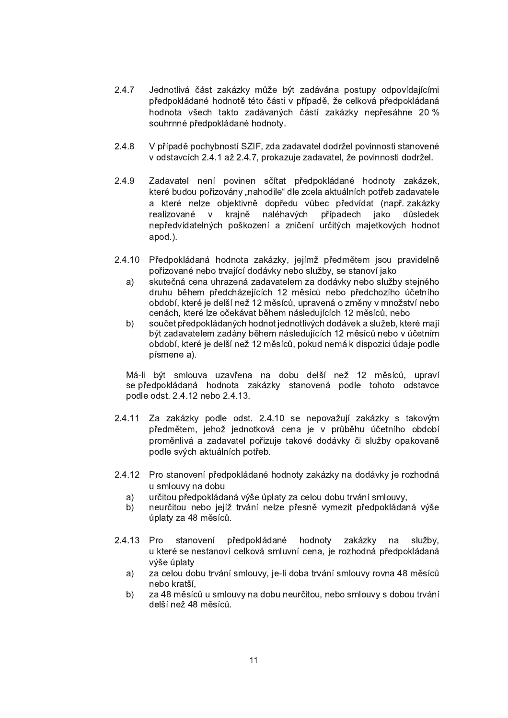- $2.4.7$ Jednotlivá část zakázky může být zadávána postupy odpovídajícími předpokládané hodnotě této části v případě, že celková předpokládaná hodnota všech takto zadávaných částí zakázky nepřesáhne 20 % souhrnné předpokládané hodnoty.
- 248 V případě pochybností SZIF, zda zadavatel dodržel povinnosti stanovené v odstavcích 2.4.1 až 2.4.7. prokazuje zadavatel, že povinnosti dodržel.
- 2.4.9 Zadavatel není povinen sčítat předpokládané hodnoty zakázek, které budou pořizovány "nahodile" dle zcela aktuálních potřeb zadavatele a které nelze objektivně dopředu vůbec předvídat (např. zakázky realizované krajně naléhavých případech jako důsledek  $V$ nepředvídatelných poškození a zničení určitých majetkových hodnot apod.).
- $2.4.10$ Předpokládaná hodnota zakázky, jejímž předmětem jsou pravidelně pořizované nebo trvající dodávky nebo služby, se stanoví jako
	- skutečná cena uhrazená zadavatelem za dodávky nebo služby stejného a) druhu během předcházejících 12 měsíců nebo předchozího účetního období, které je delší než 12 měsíců, upravená o změny v množství nebo cenách, které lze očekávat během následujících 12 měsíců, nebo
	- součet předpokládaných hodnot jednotlivých dodávek a služeb, které mají  $b)$ být zadavatelem zadány během následujících 12 měsíců nebo v účetním období, které je delší než 12 měsíců, pokud nemá k dispozici údaje podle písmene a).

Má-li být smlouva uzavřena na dobu delší než 12 měsíců, upraví se předpokládaná hodnota zakázky stanovená podle tohoto odstavce podle odst. 2.4.12 nebo 2.4.13.

- $2.4.11$ Za zakázky podle odst. 2.4.10 se nepovažují zakázky s takovým předmětem, jehož jednotková cena je v průběhu účetního období proměnlivá a zadavatel pořizuje takové dodávky či služby opakovaně podle svých aktuálních potřeb.
- 2.4.12 Pro stanovení předpokládané hodnoty zakázky na dodávky je rozhodná u smlouvy na dobu
	- $a)$ určitou předpokládaná výše úplaty za celou dobu trvání smlouvy,
	- neurčitou nebo jejíž trvání nelze přesně vymezit předpokládaná výše b) úplaty za 48 měsíců.
- 2.4.13 Pro předpokládané stanovení hodnoty zakázky na služby, u které se nestanoví celková smluvní cena, je rozhodná předpokládaná výše úplaty
	- za celou dobu trvání smlouvy, je-li doba trvání smlouvy rovna 48 měsíců a) nebo kratší.
	- b) za 48 měsíců u smlouvy na dobu neurčitou, nebo smlouvy s dobou trvání delší než 48 měsíců.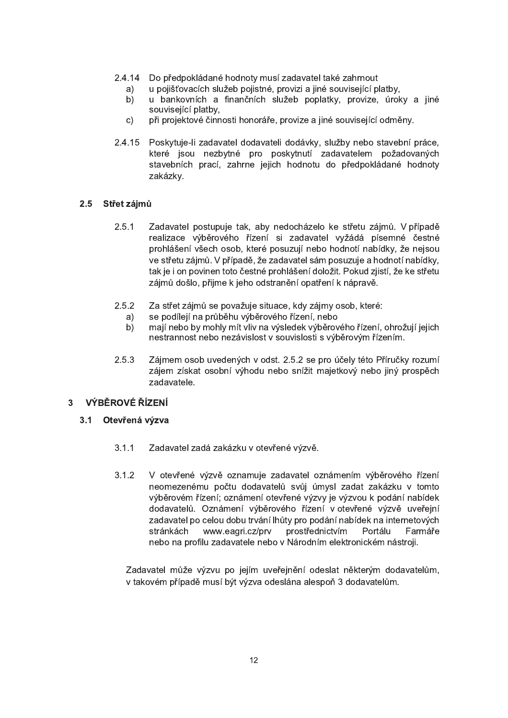- 2.4.14 Do předpokládané hodnoty musí zadavatel také zahrnout
	- u pojišťovacích služeb pojistné, provizi a jiné související platby, a)
	- $b)$ u bankovních a finančních služeb poplatky, provize, úroky a jiné souviseiící platby.
	- při projektové činnosti honoráře, provize a jiné související odměny.  $\mathsf{c}$ )
- 2.4.15 Poskytuje-li zadavatel dodavateli dodávky, služby nebo stavební práce, které jsou nezbytné pro poskytnutí zadavatelem požadovaných stavebních prací, zahrne jejich hodnotu do předpokládané hodnoty zakázky.

## 2.5 Střet zájmů

- $2.5.1$ Zadavatel postupuje tak, aby nedocházelo ke střetu zájmů. V případě realizace výběrového řízení si zadavatel vyžádá písemné čestné prohlášení všech osob, které posuzují nebo hodnotí nabídky, že nejsou ve střetu zájmů. V případě, že zadavatel sám posuzuje a hodnotí nabídky, tak je i on povinen toto čestné prohlášení doložit. Pokud zjistí, že ke střetu zájmů došlo, přijme k jeho odstranění opatření k nápravě.
- $2.5.2$ Za střet zájmů se považuje situace, kdy zájmy osob, které:
	- se podílejí na průběhu výběrového řízení, nebo a)
	- mají nebo by mohly mít vliv na výsledek výběrového řízení, ohrožují jejich b) nestrannost nebo nezávislost v souvislosti s výběrovým řízením.
- $2.5.3$ Zájmem osob uvedených v odst. 2.5.2 se pro účely této Příručky rozumí zájem získat osobní výhodu nebo snížit majetkový nebo jiný prospěch zadavatele.

#### $\mathbf{3}$ VÝBĚROVÉ ŘÍZENÍ

# 3.1 Otevřená výzva

- $3.1.1$ Zadavatel zadá zakázku v otevřené výzvě.
- $3.1.2$ V otevřené výzvě oznamuje zadavatel oznámením výběrového řízení neomezenému počtu dodavatelů svůj úmysl zadat zakázku v tomto výběrovém řízení; oznámení otevřené výzvy je výzvou k podání nabídek dodavatelů. Oznámení výběrového řízení v otevřené výzvě uveřejní zadavatel po celou dobu trvání lhůty pro podání nabídek na internetových stránkách www.eagri.cz/prv prostřednictvím Portálu Farmáře nebo na profilu zadavatele nebo v Národním elektronickém nástroji.

Zadavatel může výzvu po jejím uveřejnění odeslat některým dodavatelům, v takovém případě musí být výzva odeslána alespoň 3 dodavatelům.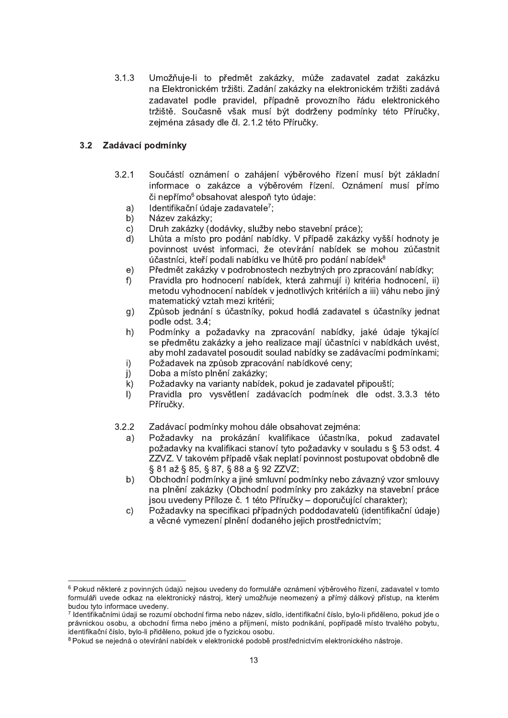3.1.3 Umožňuje-li to předmět zakázky, může zadavatel zadat zakázku na Elektronickém tržišti. Zadání zakázky na elektronickém tržišti zadává zadavatel podle pravidel, případně provozního řádu elektronického tržiště. Současně však musí být dodrženy podmínky této Příručky, zejména zásady dle čl. 2.1.2 této Příručky.

# 3.2 Zadávací podmínky

"""""""""""""""""""""""""""""""""""""""""""""""""""""

- 3.2.1 Součástí oznámení o zahájení výběrového řízení musí být základní informace o zakázce a výběrovém řízení. Oznámení musí přímo či nepřímo<sup>6</sup> obsahovat alespoň tyto údaje:
	- $a$ ) Identifikační údaie zadavatele<sup>7</sup>:
	- b) Název zakázky;
	- c) Druh zakázky (dodávky, služby nebo stavební práce);
	- d) Lhůta a místo pro podání nabídky. V případě zakázky vyšší hodnoty je povinnost uvést informaci, že otevírání nabídek se mohou zúčastnit  $\mu$ častníci, kteří podali nabídku ve lhůtě pro podání nabídek $8$
	- e) Předmět zakázky v podrobnostech nezbytných pro zpracování nabídky:
	- f) Pravidla pro hodnocení nabídek, která zahrnují i) kritéria hodnocení, ii) metodu vyhodnocení nabídek v jednotlivých kritériích a iii) váhu nebo jiný matematický vztah mezi kritérii;
	- g) Způsob jednání s účastníky, pokud hodlá zadavatel s účastníky jednat podle odst. 3.4:
	- h) Podmínky a požadavky na zpracování nabídky, jaké údaje týkající se předmětu zakázky a jeho realizace mají účastníci v nabídkách uvést. aby mohl zadavatel posoudit soulad nabídky se zadávacími podmínkami;
	- i) Požadavek na způsob zpracování nabídkové ceny;
	- j) Doba a místo plnění zakázky;
	- k) Požadavky na varianty nabídek, pokud je zadavatel připouští;
	- I) Pravidla pro vysvětlení zadávacích podmínek dle odst. 3.3.3 této Příručky.
- 3.2.2 Zadávací podmínky mohou dále obsahovat zejména:
	- a) Požadavky na prokázání kvalifikace účastníka, pokud zadavatel požadavky na kvalifikaci stanoví tyto požadavky v souladu s § 53 odst. 4 ZZVZ. V takovém případě však neplatí povinnost postupovat obdobně dle § 81 až § 85, § 87, § 88 a § 92 ZZVZ;
	- b) Obchodní podmínky a jiné smluvní podmínky nebo závazný vzor smlouvy na plnění zakázky (Obchodní podmínky pro zakázky na stavební práce jsou uvedeny Příloze č. 1 této Příručky – doporučující charakter);
	- c) Požadavky na specifikaci případných poddodavatelů (identifikační údaje) a věcné vymezení plnění dodaného jejich prostřednictvím;

<sup>&</sup>lt;sup>6</sup> Pokud některé z povinných údajů nejsou uvedeny do formuláře oznámení výběrového řízení, zadavatel v tomto formuláři uvede odkaz na elektronický nástroj, který umožňuje neomezený a přímý dálkový přístup, na kterém budou tyto informace uvedeny.

<sup>&</sup>lt;sup>7</sup> Identifikačními údaji se rozumí obchodní firma nebo název, sídlo, identifikační číslo, bylo-li přiděleno, pokud jde o právnickou osobu, a obchodní firma nebo jméno a příjmení, místo podnikání, popřípadě místo trvalého pobytu, identifikační číslo, bylo-li přiděleno, pokud jde o fyzickou osobu.

<sup>&</sup>lt;sup>8</sup> Pokud se nejedná o otevírání nabídek v elektronické podobě prostřednictvím elektronického nástroje.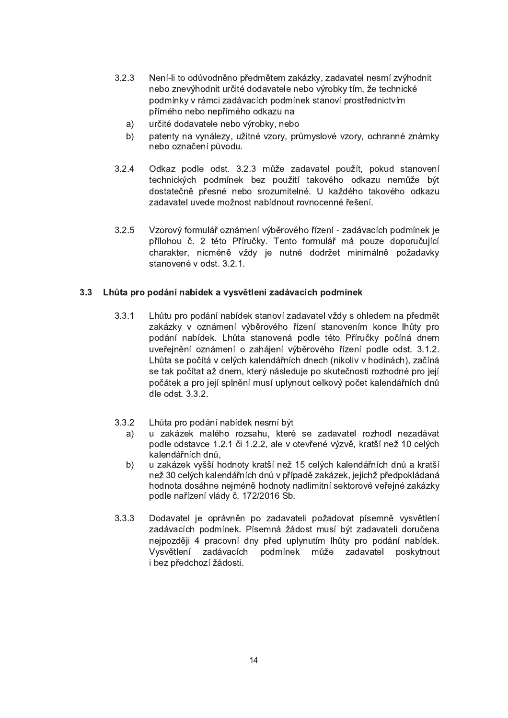- 3.2.3 Není-li to odůvodněno předmětem zakázky, zadavatel nesmí zvýhodnit nebo znevýhodnit určité dodavatele nebo výrobky tím, že technické podmínky v rámci zadávacích podmínek stanoví prostřednictvím přímého nebo nepřímého odkazu na
	- a) určité dodavatele nebo výrobky, nebo
	- b) patenty na vynálezy, užitné vzory, průmyslové vzory, ochranné známky nebo označení původu.
- 3.2.4 Odkaz podle odst. 3.2.3 může zadavatel použít, pokud stanovení technických podmínek bez použití takového odkazu nemůže být dostatečně přesné nebo srozumitelné. U každého takového odkazu zadavatel uvede možnost nabídnout rovnocenné řešení.
- $3.2.5$  Vzorový formulář oznámení výběrového řízení zadávacích podmínek je přílohou č. 2 této Příručky. Tento formulář má pouze doporučující charakter, nicméně vždy je nutné dodržet minimálně požadavky stanovené v odst. 3.2.1.

## 3.3 Lhůta pro podání nabídek a vysvětlení zadávacích podmínek

- 3.3.1 Lhůtu pro podání nabídek stanoví zadavatel vždy s ohledem na předmět zakázky v oznámení výběrového řízení stanovením konce lhůty pro podání nabídek. Lhůta stanovená podle této Příručky počíná dnem uveřejnění oznámení o zahájení výběrového řízení podle odst. 3.1.2. Lhůta se počítá v celých kalendářních dnech (nikoliv v hodinách), začíná se tak počítat až dnem, který následuje po skutečnosti rozhodné pro její počátek a pro její splnění musí uplynout celkový počet kalendářních dnů  $d$ le  $odst. 3.3.2.$
- 3.3.2 Lhůta pro podání nabídek nesmí být
	- a) u zakázek malého rozsahu, které se zadavatel rozhodl nezadávat podle odstavce 1.2.1 či 1.2.2, ale v otevřené výzvě, kratší než 10 celých kalendářních dnů.
	- b) u zakázek vyšší hodnoty kratší než 15 celých kalendářních dnů a kratší než 30 celých kalendářních dnů v případě zakázek, jejichž předpokládaná hodnota dosáhne nejméně hodnoty nadlimitní sektorové veřejné zakázky podle nařízení vlády č. 172/2016 Sb.
- 3.3.3 Dodavatel je oprávněn po zadavateli požadovat písemně vysvětlení zadávacích podmínek. Písemná žádost musí být zadavateli doručena nejpozději 4 pracovní dny před uplynutím lhůty pro podání nabídek. Vysvětlení zadávacích podmínek může zadavatel poskytnout i bez předchozí žádosti.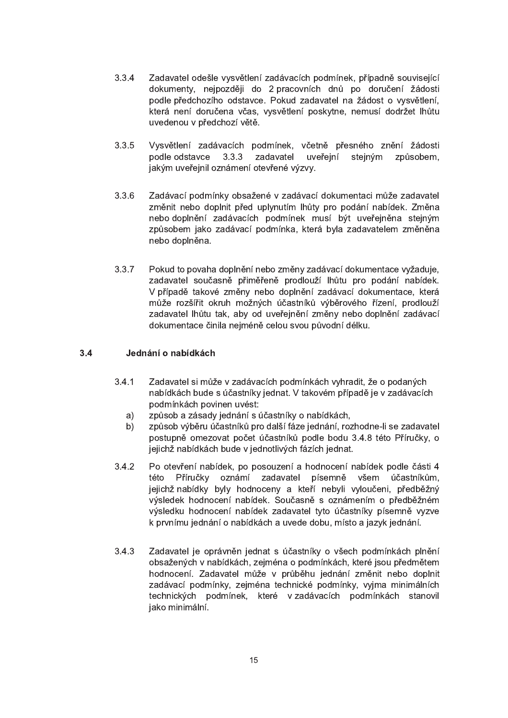- 3.3.4 Zadavatel odešle vysvětlení zadávacích podmínek, případně související dokumenty, nejpozději do 2 pracovních dnů po doručení žádosti podle předchozího odstavce. Pokud zadavatel na žádost o vysvětlení. která není doručena včas, vysvětlení poskytne, nemusí dodržet lhůtu uvedenou v předchozí větě.
- 3.3.5 Vysvětlení zadávacích podmínek, včetně přesného znění žádosti podle odstavce 3.3.3 zadavatel uveřejní stejným způsobem. jakým uveřejnil oznámení otevřené výzvy.
- 3.3.6 Zadávací podmínky obsažené v zadávací dokumentaci může zadavatel změnit nebo doplnit před uplynutím lhůty pro podání nabídek. Změna nebo doplnění zadávacích podmínek musí být uveřejněna stejným způsobem jako zadávací podmínka, která byla zadavatelem změněna nebo doplněna.
- 3.3.7 Pokud to povaha doplnění nebo změny zadávací dokumentace vyžaduje, zadavatel současně přiměřeně prodlouží lhůtu pro podání nabídek. V případě takové změny nebo doplnění zadávací dokumentace, která může rozšířit okruh možných účastníků výběrového řízení, prodlouží zadavatel lhůtu tak, aby od uveřejnění změny nebo doplnění zadávací dokumentace činila nejméně celou svou původní délku.

# 3.4 Jednání o nabídkách

- 3.4.1 Zadavatel si může v zadávacích podmínkách vyhradit, že o podaných nabídkách bude s účastníky jednat. V takovém případě je v zadávacích podmínkách povinen uvést:
	- a) způsob a zásady jednání s účastníky o nabídkách,
	- b) způsob výběru účastníků pro další fáze jednání, rozhodne-li se zadavatel postupně omezovat počet účastníků podle bodu 3.4.8 této Příručky, o jejichž nabídkách bude v jednotlivých fázích jednat.
- 3.4.2 Po otevření nabídek, po posouzení a hodnocení nabídek podle části 4 této Příručky oznámí zadavatel písemně všem účastníkům, jejichž nabídky byly hodnoceny a kteří nebyli vyloučeni, předběžný výsledek hodnocení nabídek. Současně s oznámením o předběžném výsledku hodnocení nabídek zadavatel tyto účastníky písemně vyzve k prvnímu jednání o nabídkách a uvede dobu, místo a jazyk jednání.
- 3.4.3 Zadavatel je oprávněn jednat s účastníky o všech podmínkách plnění obsažených v nabídkách, zejména o podmínkách, které jsou předmětem hodnocení. Zadavatel může v průběhu jednání změnit nebo doplnit zadávací podmínky, zejména technické podmínky, vyjma minimálních technických podmínek, které v zadávacích podmínkách stanovil jako minimální.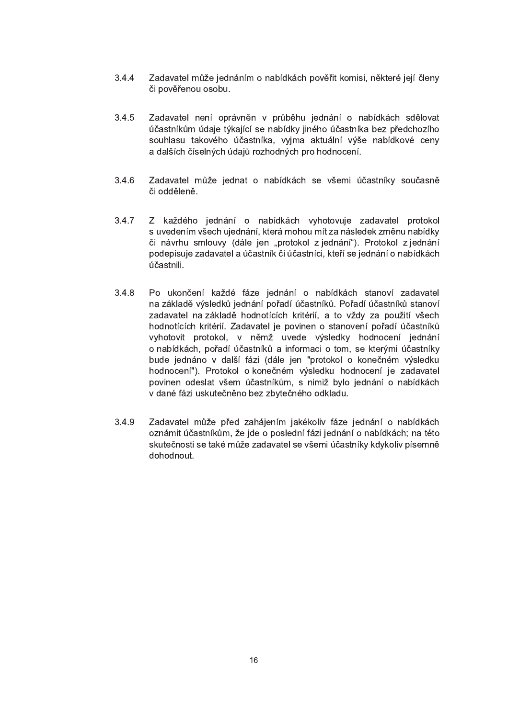- $3.4.4$ Zadavatel může jednáním o nabídkách pověřit komisi, některé její členy či pověřenou osobu.
- $3.4.5$ Zadavatel není oprávněn v průběhu jednání o nabídkách sdělovat účastníkům údaje týkající se nabídky jiného účastníka bez předchozího souhlasu takového účastníka, vyjma aktuální výše nabídkové ceny a dalších číselných údajů rozhodných pro hodnocení.
- $3.4.6$ Zadavatel může jednat o nabídkách se všemi účastníky současně či odděleně.
- $3.4.7$ Z každého jednání o nabídkách vyhotovuje zadavatel protokol s uvedením všech ujednání, která mohou mít za následek změnu nabídky či návrhu smlouvy (dále jen "protokol z jednání"). Protokol z jednání podepisuje zadavatel a účastník či účastníci, kteří se jednání o nabídkách účastnili.
- $3.4.8$ Po ukončení každé fáze jednání o nabídkách stanoví zadavatel na základě výsledků jednání pořadí účastníků. Pořadí účastníků stanoví zadavatel na základě hodnotících kritérií, a to vždy za použití všech hodnotících kritérií. Zadavatel je povinen o stanovení pořadí účastníků vyhotovit protokol, v němž uvede výsledky hodnocení jednání o nabídkách, pořadí účastníků a informaci o tom, se kterými účastníky bude jednáno v další fázi (dále jen "protokol o konečném výsledku hodnocení"). Protokol o konečném výsledku hodnocení je zadavatel povinen odeslat všem účastníkům, s nimiž bylo jednání o nabídkách v dané fázi uskutečněno bez zbytečného odkladu.
- $3.4.9$ Zadavatel může před zahájením jakékoliv fáze jednání o nabídkách oznámit účastníkům, že jde o poslední fázi jednání o nabídkách; na této skutečnosti se také může zadavatel se všemi účastníky kdykoliv písemně dohodnout.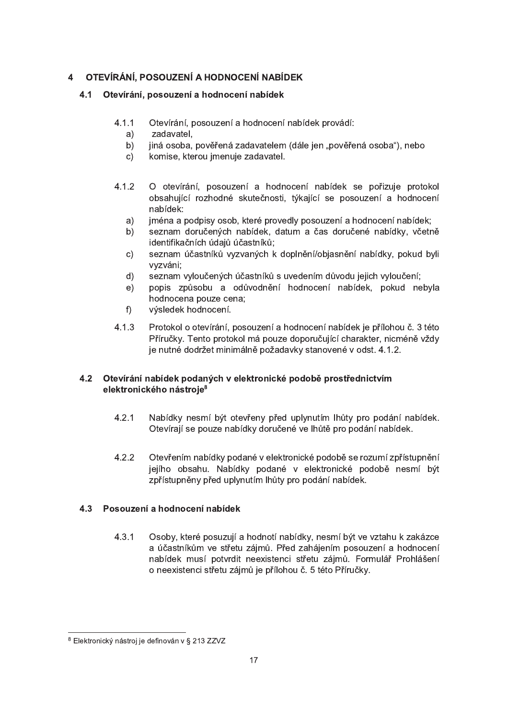#### OTEVÍRÁNÍ, POSOUZENÍ A HODNOCENÍ NABÍDEK  $\overline{\mathbf{4}}$

# 4.1 Otevírání, posouzení a hodnocení nabídek

- $4.1.1$ Otevírání, posouzení a hodnocení nabídek provádí:
	- $a)$ zadavatel.
	- $b)$ jiná osoba, pověřená zadavatelem (dále jen "pověřená osoba"), nebo
	- $c)$ komise, kterou jmenuje zadavatel.
- $4.1.2$ O otevírání, posouzení a hodnocení nabídek se pořizuje protokol obsahující rozhodné skutečnosti, týkající se posouzení a hodnocení nabídek:
	- $a)$ iména a podpisy osob, které provedly posouzení a hodnocení nabídek:
	- seznam doručených nabídek, datum a čas doručené nabídky, včetně b) identifikačních údajů účastníků;
	- seznam účastníků vyzvaných k doplnění/objasnění nabídky, pokud byli  $\mathsf{c})$ vvzváni:
	- $d)$ seznam vyloučených účastníků s uvedením důvodu jejich vyloučení;
	- $e)$ popis způsobu a odůvodnění hodnocení nabídek, pokud nebyla hodnocena pouze cena:
	- $f$ ) výsledek hodnocení.
- $4.1.3$ Protokol o otevírání, posouzení a hodnocení nabídek je přílohou č. 3 této Příručky. Tento protokol má pouze doporučující charakter, nicméně vždy je nutné dodržet minimálně požadavky stanovené v odst. 4.1.2.

# 4.2 Otevírání nabídek podaných v elektronické podobě prostřednictvím elektronického nástroje<sup>8</sup>

- $4.2.1$ Nabídky nesmí být otevřeny před uplynutím lhůty pro podání nabídek. Otevírají se pouze nabídky doručené ve lhůtě pro podání nabídek.
- $4.2.2$ Otevřením nabídky podané v elektronické podobě se rozumí zpřístupnění jejího obsahu. Nabídky podané v elektronické podobě nesmí být zpřístupněny před uplynutím lhůty pro podání nabídek.

#### $4.3$ Posouzení a hodnocení nabídek

 $4.3.1$ Osoby, které posuzují a hodnotí nabídky, nesmí být ve vztahu k zakázce a účastníkům ve střetu zájmů. Před zahájením posouzení a hodnocení nabídek musí potvrdit neexistenci střetu zájmů. Formulář Prohlášení o neexistenci střetu zájmů je přílohou č. 5 této Příručky.

<sup>8</sup> Elektronický nástroj je definován v § 213 ZZVZ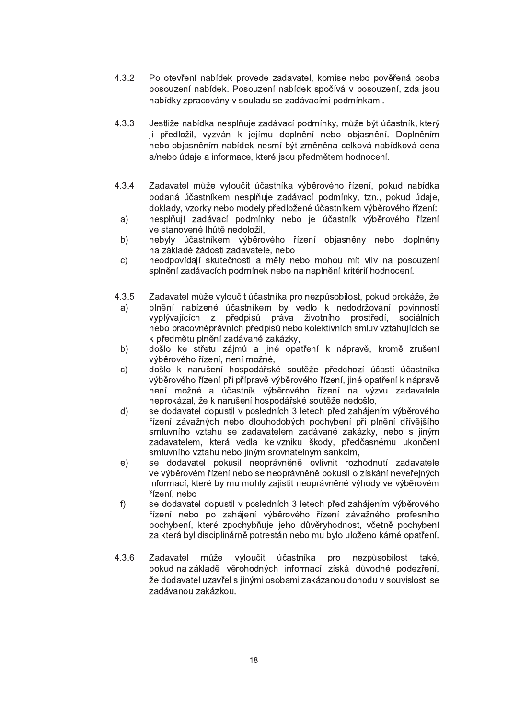- $4.3.2$ Po otevření nabídek provede zadavatel, komise nebo pověřená osoba posouzení nabídek. Posouzení nabídek spočívá v posouzení, zda jsou nabídky zpracovány v souladu se zadávacími podmínkami.
- $4.3.3$ Jestliže nabídka nesplňuje zadávací podmínky, může být účastník, který ji předložil, vyzván k jejímu doplnění nebo objasnění. Doplněním nebo objasněním nabídek nesmí být změněna celková nabídková cena a/nebo údaje a informace, které jsou předmětem hodnocení.
- 4.3.4 Zadavatel může vyloučit účastníka výběrového řízení, pokud nabídka podaná účastníkem nesplňuje zadávací podmínky, tzn., pokud údaje, doklady, vzorky nebo modely předložené účastníkem výběrového řízení:
- nesplňují zadávací podmínky nebo je účastník výběrového řízení a) ve stanovené lhůtě nedoložil.
- b) nebyly účastníkem výběrového řízení objasněny nebo doplněny na základě žádosti zadavatele, nebo
- neodpovídají skutečnosti a měly nebo mohou mít vliv na posouzení  $c)$ splnění zadávacích podmínek nebo na naplnění kritérií hodnocení.
- $4.3.5$ Zadavatel může vyloučit účastníka pro nezpůsobilost, pokud prokáže, že
	- plnění nabízené účastníkem by vedlo k nedodržování povinností a) vyplývajících z předpisů práva životního prostředí, sociálních nebo pracovněprávních předpisů nebo kolektivních smluv vztahujících se k předmětu plnění zadávané zakázky,
	- došlo ke střetu zájmů a jiné opatření k nápravě, kromě zrušení b) výběrového řízení, není možné,
	- došlo k narušení hospodářské soutěže předchozí účastí účastníka  $\mathsf{C}$ výběrového řízení při přípravě výběrového řízení, jiné opatření k nápravě není možné a účastník výběrového řízení na výzvu zadavatele neprokázal, že k narušení hospodářské soutěže nedošlo,
	- $d)$ se dodavatel dopustil v posledních 3 letech před zahájením výběrového řízení závažných nebo dlouhodobých pochybení při plnění dřívějšího smluvního vztahu se zadavatelem zadávané zakázky, nebo s jiným zadavatelem, která vedla ke vzniku škody, předčasnému ukončení smluvního vztahu nebo jiným srovnatelným sankcím,
	- se dodavatel pokusil neoprávněně ovlivnit rozhodnutí zadavatele  $e)$ ve výběrovém řízení nebo se neoprávněně pokusil o získání neveřejných informací, které by mu mohly zajistit neoprávněné výhody ve výběrovém řízení, nebo
	- $f$ ) se dodavatel dopustil v posledních 3 letech před zahájením výběrového řízení nebo po zahájení výběrového řízení závažného profesního pochybení, které zpochybňuje jeho důvěryhodnost, včetně pochybení za která byl disciplinárně potrestán nebo mu bylo uloženo kárné opatření.
- 4.3.6 Zadavatel může vyloučit účastníka pro nezpůsobilost také. pokud na základě věrohodných informací získá důvodné podezření, že dodavatel uzavřel s jinými osobami zakázanou dohodu v souvislosti se zadávanou zakázkou.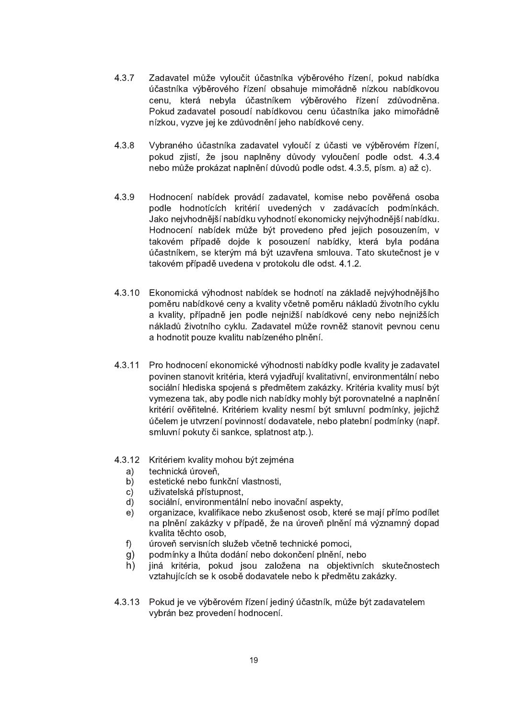- 4.3.7 Zadavatel může vyloučit účastníka výběrového řízení, pokud nabídka účastníka výběrového řízení obsahuje mimořádně nízkou nabídkovou cenu, která nebyla účastníkem výběrového řízení zdůvodněna. Pokud zadavatel posoudí nabídkovou cenu účastníka jako mimořádně nízkou, vyzve jej ke zdůvodnění jeho nabídkové ceny.
- 4.3.8 Vybraného účastníka zadavatel vyloučí z účasti ve výběrovém řízení. pokud zijstí, že jsou naplněny důvody vyloučení podle odst. 4.3.4 nebo může prokázat naplnění důvodů podle odst. 4.3.5, písm. a) až c).
- 4.3.9 Hodnocení nabídek provádí zadavatel, komise nebo pověřená osoba podle hodnotících kritérií uvedených v zadávacích podmínkách. Jako nejvhodnější nabídku vyhodnotí ekonomicky nejvýhodnější nabídku. Hodnocení nabídek může být provedeno před jejich posouzením, v takovém případě dojde k posouzení nabídky, která byla podána účastníkem, se kterým má být uzavřena smlouva. Tato skutečnost je v takovém případě uvedena v protokolu dle odst. 4.1.2.
- 4.3.10 Ekonomická výhodnost nabídek se hodnotí na základě nejvýhodnějšího poměru nabídkové ceny a kvality včetně poměru nákladů životního cyklu a kvality, případně jen podle nejnižší nabídkové ceny nebo nejnižších nákladů životního cyklu. Zadavatel může rovněž stanovit pevnou cenu a hodnotit pouze kvalitu nabízeného plnění.
- 4.3.11 Pro hodnocení ekonomické výhodnosti nabídky podle kvality je zadavatel povinen stanovit kritéria, která vyjadřují kvalitativní, environmentální nebo sociální hlediska spojená s předmětem zakázky. Kritéria kvality musí být vymezena tak, aby podle nich nabídky mohly být porovnatelné a naplnění kritérií ověřitelné. Kritériem kvality nesmí být smluvní podmínky, jejichž účelem je utvrzení povinností dodavatele, nebo platební podmínky (např. smluvní pokuty či sankce, splatnost atp.).
- 4.3.12 Kritériem kvality mohou být zejména
	- a) technická úroveň,
	- b) estetické nebo funkční vlastnosti,
	- c) uživatelská přístupnost.
	- d) sociální, environmentální nebo inovační aspekty.
	- e) organizace, kvalifikace nebo zkušenost osob, které se mají přímo podílet na plnění zakázky v případě, že na úroveň plnění má významný dopad kvalita těchto osob,
	- f) úroveň servisních služeb včetně technické pomoci,
	- g) podmínky a lhůta dodání nebo dokončení plnění, nebo
	- h) jiná kritéria, pokud jsou založena na objektivních skutečnostech vztahujících se k osobě dodavatele nebo k předmětu zakázky.
- 4.3.13 Pokud je ve výběrovém řízení jediný účastník, může být zadavatelem vybrán bez provedení hodnocení.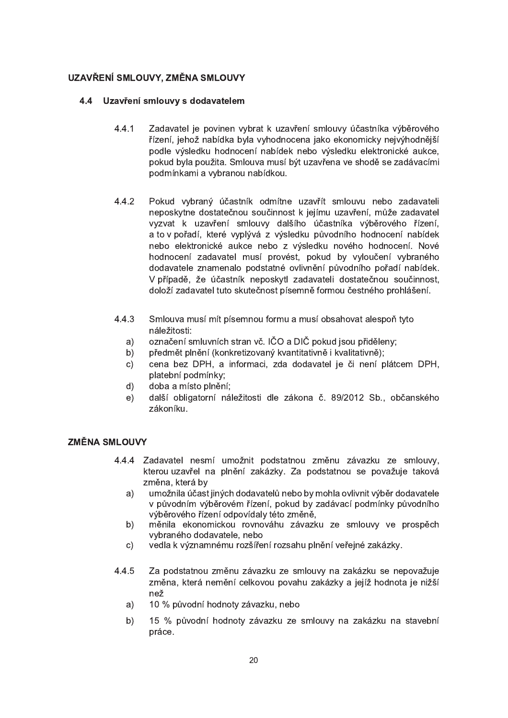# UZAVŘENÍ SMLOUVY, ZMĚNA SMLOUVY

## 4.4 Uzavření smlouvy s dodavatelem

- 4.4.1 Zadavatel je povinen vybrat k uzavření smlouvy účastníka výběrového řízení, jehož nabídka byla vyhodnocena jako ekonomicky nejvýhodnější podle výsledku hodnocení nabídek nebo výsledku elektronické aukce, pokud byla použita. Smlouva musí být uzavřena ve shodě se zadávacími podmínkami a vybranou nabídkou.
- 4.4.2 Pokud vybraný účastník odmítne uzavřít smlouvu nebo zadavateli neposkytne dostatečnou součinnost k jejímu uzavření, může zadavatel vyzvat k uzavření smlouvy dalšího účastníka výběrového řízení, a to v pořadí, které vyplývá z výsledku původního hodnocení nabídek nebo elektronické aukce nebo z výsledku nového hodnocení. Nové hodnocení zadavatel musí provést, pokud by vyloučení vybraného dodavatele znamenalo podstatné ovlivnění původního pořadí nabídek. V případě, že účastník neposkytl zadavateli dostatečnou součinnost, doloží zadavatel tuto skutečnost písemně formou čestného prohlášení.
- 4.4.3 Smlouva musí mít písemnou formu a musí obsahovat alespoň tyto náležitosti:
	- $r$ a) označení smluvních stran vč. IČO a DIČ pokud isou přiděleny:
	- b) předmět plnění (konkretizovaný kvantitativně i kvalitativně);
	- c) cena bez DPH, a informaci, zda dodavatel je či není plátcem DPH, platební podmínky;
	- d) doba a místo plnění;
	- e) další obligatorní náležitosti dle zákona č. 89/2012 Sb., občanského zákoníku.

### ZMĚNA SMLOUVY

- 4.4.4 Zadavatel nesmí umožnit podstatnou změnu závazku ze smlouvy, kterou uzavřel na plnění zakázky. Za podstatnou se považuje taková změna. která by
	- a) umožnila účast jiných dodavatelů nebo by mohla ovlivnit výběr dodavatele v původním výběrovém řízení, pokud by zadávací podmínky původního výběrového řízení odpovídaly této změně,
	- b) měnila ekonomickou rovnováhu závazku ze smlouvy ve prospěch vybraného dodavatele, nebo
	- c) vedla k významnému rozšíření rozsahu plnění veřejné zakázky.
- 4.4.5 Za podstatnou změnu závazku ze smlouvy na zakázku se nepovažuje změna, která nemění celkovou povahu zakázky a jejíž hodnota je nižší než
	- a) 10 % původní hodnoty závazku, nebo
	- b) 15 % původní hodnoty závazku ze smlouvy na zakázku na stavební práce.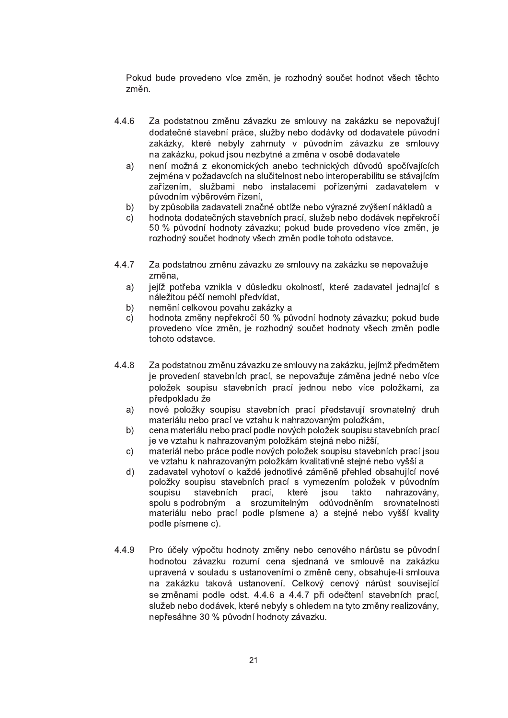Pokud bude provedeno více změn, je rozhodný součet hodnot všech těchto změn.

- 4.4.6 Za podstatnou změnu závazku ze smlouvy na zakázku se nepovažují dodatečné stavební práce, služby nebo dodávky od dodavatele původní zakázky, které nebyly zahrnuty v původním závazku ze smlouvy na zakázku, pokud jsou nezbytné a změna v osobě dodavatele
	- a) není možná z ekonomických anebo technických důvodů spočívajících zejména v požadavcích na slučitelnost nebo interoperabilitu se stávajícím zařízením, službami nebo instalacemi pořízenými zadavatelem v původním výběrovém řízení,
	- b) by způsobila zadavateli značné obtíže nebo výrazné zvýšení nákladů a
	- c) hodnota dodatečných stavebních prací, služeb nebo dodávek nepřekročí 50 % původní hodnoty závazku; pokud bude provedeno více změn, je rozhodný součet hodnoty všech změn podle tohoto odstavce.
- 4.4.7 Za podstatnou změnu závazku ze smlouvy na zakázku se nepovažuje změna.
	- a) jejíž potřeba vznikla v důsledku okolností, které zadavatel jednající s náležitou péčí nemohl předvídat,
	- b) nemění celkovou povahu zakázky a
	- c) hodnota změny nepřekročí 50 % původní hodnoty závazku; pokud bude provedeno více změn, je rozhodný součet hodnoty všech změn podle tohoto odstavce.
- 4.4.8 Za podstatnou změnu závazku ze smlouvy na zakázku, jejímž předmětem je provedení stavebních prací, se nepovažuje záměna jedné nebo více položek soupisu stavebních prací jednou nebo více položkami, za předpokladu že
	- a) nové položky soupisu stavebních prací představují srovnatelný druh materiálu nebo prací ve vztahu k nahrazovaným položkám,
	- b) cena materiálu nebo prací podle nových položek soupisu stavebních prací je ve vztahu k nahrazovaným položkám stejná nebo nižší,
	- c) materiál nebo práce podle nových položek soupisu stavebních prací jsou ve vztahu k nahrazovaným položkám kvalitativně stejné nebo vyšší a
	- d) zadavatel vyhotoví o každé jednotlivé záměně přehled obsahující nové položky soupisu stavebních prací s vymezením položek v původním soupisu stavebních prací, které jsou takto nahrazovány, spolu s podrobným a srozumitelným odůvodněním srovnatelnosti materiálu nebo prací podle písmene a) a stejné nebo vyšší kvality podle písmene c).
- 4.4.9 Pro účely výpočtu hodnoty změny nebo cenového nárůstu se původní hodnotou závazku rozumí cena sjednaná ve smlouvě na zakázku upravená v souladu s ustanoveními o změně ceny, obsahuje-li smlouva na zakázku taková ustanovení. Celkový cenový nárůst související se změnami podle odst. 4.4.6 a 4.4.7 při odečtení stavebních prací, služeb nebo dodávek, které nebyly s ohledem na tyto změny realizovány, nepřesáhne 30 % původní hodnoty závazku.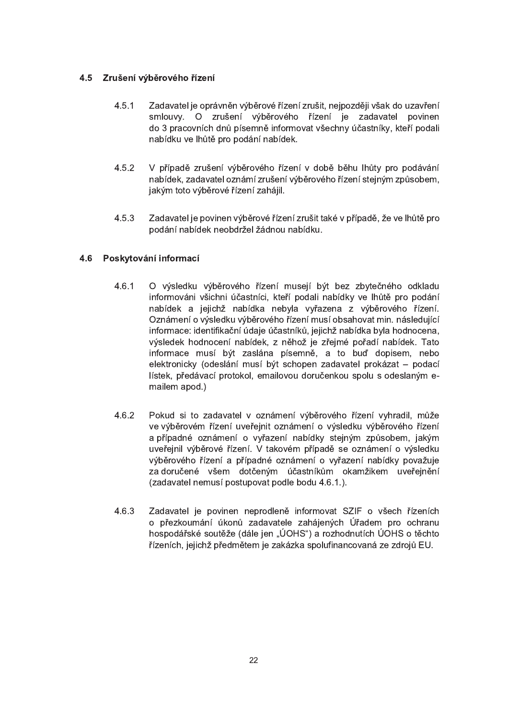# 4.5 Zrušení výběrového řízení

- $4.5.1$ Zadavatel je oprávněn výběrové řízení zrušit, nejpozději však do uzavření smlouvy. O zrušení výběrového řízení je zadavatel povinen do 3 pracovních dnů písemně informovat všechny účastníky, kteří podali nabídku ve lhůtě pro podání nabídek.
- V případě zrušení výběrového řízení v době běhu lhůty pro podávání  $4.5.2$ nabídek, zadavatel oznámí zrušení výběrového řízení stejným způsobem, jakým toto výběrové řízení zahájil.
- $4.5.3$ Zadavatel je povinen výběrové řízení zrušit také v případě, že ve lhůtě pro podání nabídek neobdržel žádnou nabídku.

# 4.6 Poskytování informací

- $4.6.1$ O výsledku výběrového řízení musejí být bez zbytečného odkladu informováni všichni účastníci, kteří podali nabídky ve lhůtě pro podání nabídek a jejichž nabídka nebyla vyřazena z výběrového řízení. Oznámení o výsledku výběrového řízení musí obsahovat min. následující informace: identifikační údaje účastníků, jejichž nabídka byla hodnocena, výsledek hodnocení nabídek, z něhož je zřejmé pořadí nabídek. Tato informace musí být zaslána písemně, a to buď dopisem, nebo elektronicky (odeslání musí být schopen zadavatel prokázat - podací lístek, předávací protokol, emailovou doručenkou spolu s odeslaným emailem apod.)
- $4.6.2$ Pokud si to zadavatel v oznámení výběrového řízení vyhradil, může ve výběrovém řízení uveřejnit oznámení o výsledku výběrového řízení a případné oznámení o vyřazení nabídky stejným způsobem, jakým uveřejnil výběrové řízení. V takovém případě se oznámení o výsledku výběrového řízení a případné oznámení o vyřazení nabídky považuje za doručené všem dotčeným účastníkům okamžikem uveřejnění (zadavatel nemusí postupovat podle bodu 4.6.1.).
- 4.6.3 Zadavatel je povinen neprodleně informovat SZIF o všech řízeních o přezkoumání úkonů zadavatele zahájených Úřadem pro ochranu hospodářské soutěže (dále jen "ÚOHS") a rozhodnutích ÚOHS o těchto řízeních, jejichž předmětem je zakázka spolufinancovaná ze zdrojů EU.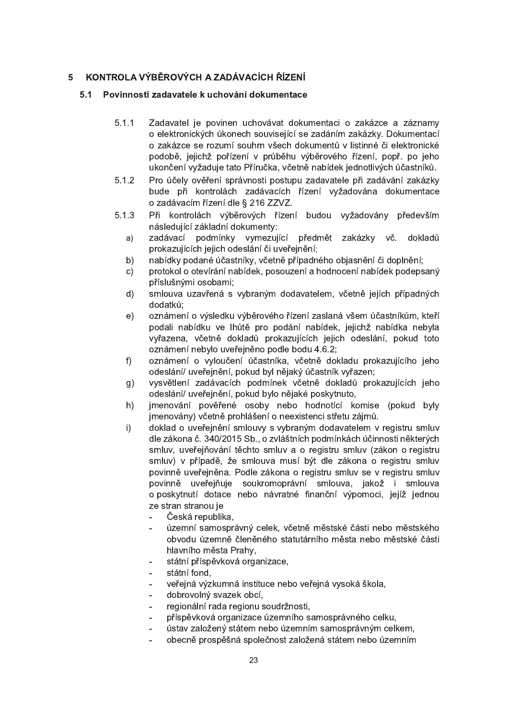#### KONTROLA VÝBĚROVÝCH A ZADÁVACÍCH ŘÍZENÍ 5

#### $5.1$ Povinnosti zadavatele k uchování dokumentace

- $5.1.1$ Zadavatel je povinen uchovávat dokumentaci o zakázce a záznamy o elektronických úkonech související se zadáním zakázky. Dokumentací o zakázce se rozumí souhrn všech dokumentů v listinné či elektronické podobě, jejichž pořízení v průběhu výběrového řízení, popř. po jeho ukončení vyžaduje tato Příručka, včetně nabídek jednotlivých účastníků.
- Pro účely ověření správnosti postupu zadavatele při zadávání zakázky  $5.1.2$ bude při kontrolách zadávacích řízení vyžadována dokumentace o zadávacím řízení dle § 216 ZZVZ.
- Při kontrolách výběrových řízení budou vyžadovány především  $5.1.3$ následující základní dokumenty:
	- zadávací podmínky vymezující předmět zakázky vč. dokladů  $a)$ prokazujících jejich odeslání či uveřejnění:
	- nabídky podané účastníky, včetně případného objasnění či doplnění; b)
	- protokol o otevírání nabídek, posouzení a hodnocení nabídek podepsaný  $\mathsf{C}$ ) příslušnými osobami;
	- smlouva uzavřená s vybraným dodavatelem, včetně jejích případných  $d)$ dodatků:
	- $e)$ oznámení o výsledku výběrového řízení zaslaná všem účastníkům, kteří podali nabídku ve lhůtě pro podání nabídek, jejichž nabídka nebyla vyřazena, včetně dokladů prokazujících jejich odeslání, pokud toto oznámení nebylo uveřejněno podle bodu 4.6.2;
	- oznámení o vyloučení účastníka, včetně dokladu prokazujícího jeho  $f$ ) odeslání/ uveřejnění, pokud byl nějaký účastník vyřazen;
	- vysvětlení zadávacích podmínek včetně dokladů prokazujících jeho  $g)$ odeslání/ uveřejnění, pokud bylo nějaké poskytnuto,
	- jmenování pověřené osoby nebo hodnotící komise (pokud byly  $h)$ imenovány) včetně prohlášení o neexistenci střetu zájmů.
	- doklad o uveřejnění smlouvy s vybraným dodavatelem v registru smluv  $i)$ dle zákona č. 340/2015 Sb., o zvláštních podmínkách účinnosti některých smluv, uveřejňování těchto smluv a o registru smluv (zákon o registru smluv) v případě, že smlouva musí být dle zákona o registru smluv povinně uveřejněna. Podle zákona o registru smluv se v registru smluv povinně uveřejňuje soukromoprávní smlouva, jakož i smlouva o poskytnutí dotace nebo návratné finanční výpomoci, jejíž jednou ze stran stranou je
		- Česká republika,
		- územní samosprávný celek, včetně městské části nebo městského obvodu územně členěného statutárního města nebo městské části hlavního města Prahy,
		- státní příspěvková organizace,  $\overline{a}$
		- státní fond.
		- veřejná výzkumná instituce nebo veřejná vysoká škola.
		- dobrovolný svazek obcí,  $\overline{a}$
		- regionální rada regionu soudržnosti,  $\overline{a}$
		- příspěvková organizace územního samosprávného celku,  $\overline{a}$
		- ústav založený státem nebo územním samosprávným celkem, L,
		- obecně prospěšná společnost založená státem nebo územním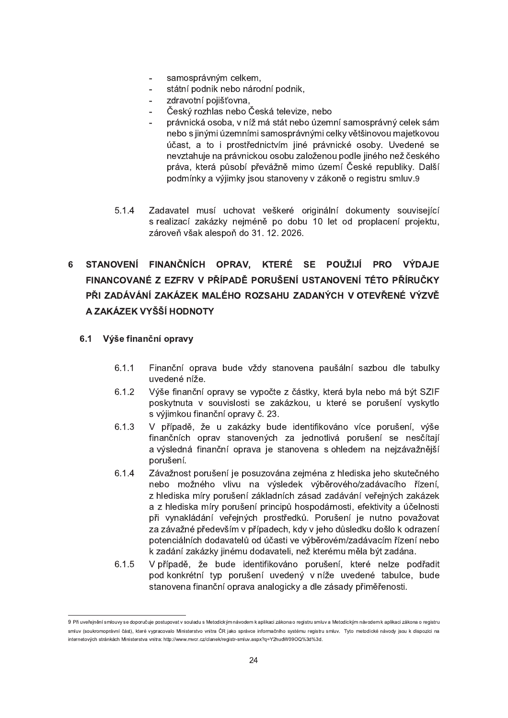- samosprávným celkem,
- státní podnik nebo národní podnik,
- zdravotní pojišťovna.
- Český rozhlas nebo Česká televize, nebo
- právnická osoba, v níž má stát nebo územní samosprávný celek sám nebo s jinými územními samosprávnými celky většinovou majetkovou účast, a to i prostřednictvím jiné právnické osoby. Uvedené se nevztahuje na právnickou osobu založenou podle jiného než českého práva, která působí převážně mimo území České republiky. Další podmínky a výjimky jsou stanoveny v zákoně o registru smluv.9
- 5.1.4 Zadavatel musí uchovat veškeré originální dokumenty související s realizací zakázky nejméně po dobu 10 let od proplacení projektu, zároveň však alespoň do 31. 12. 2026.

# 6 STANOVENÍ FINANČNÍCH OPRAV, KTERÉ SE POUŽIJÍ PRO VÝDAJE FINANCOVANÉ Z EZFRV V PŘÍPADĚ PORUŠENÍ USTANOVENÍ TÉTO PŘÍRUČKY PŘI ZADÁVÁNÍ ZAKÁZEK MALÉHO ROZSAHU ZADANÝCH V OTEVŘENÉ VÝZVĚ A ZAKÁZEK VYŠŠÍ HODNOTY

# 6.1 Výše finanční opravy

"""""""""""""""""""""""""""""""""""""""""""""""""""""

- 6.1.1 Finanční oprava bude vždy stanovena paušální sazbou dle tabulky uvedené níže.
- 6.1.2 Výše finanční opravy se vypočte z částky, která byla nebo má být SZIF poskytnuta v souvislosti se zakázkou, u které se porušení vyskytlo s výjimkou finanční opravy č. 23.
- 6.1.3 V případě, že u zakázky bude identifikováno více porušení, výše finančních oprav stanovených za jednotlivá porušení se nesčítají a výsledná finanční oprava je stanovena s ohledem na nejzávažnější porušení.
- 6.1.4 Závažnost porušení je posuzována zejména z hlediska jeho skutečného nebo možného vlivu na výsledek výběrového/zadávacího řízení, z hlediska míry porušení základních zásad zadávání veřejných zakázek a z hlediska míry porušení principů hospodárnosti, efektivity a účelnosti při vynakládání veřejných prostředků. Porušení je nutno považovat za závažné především v případech, kdy v jeho důsledku došlo k odrazení potenciálních dodavatelů od účasti ve výběrovém/zadávacím řízení nebo k zadání zakázky jinému dodavateli, než kterému měla být zadána.
- 6.1.5 V případě, že bude identifikováno porušení, které nelze podřadit pod konkrétní typ porušení uvedený v níže uvedené tabulce, bude stanovena finanční oprava analogicky a dle zásady přiměřenosti.

<sup>9</sup> Při uveřejnění smlouvy se doporučuje postupovat v souladu s Metodickým návodem k aplikaci zákona o registu smluv a Metodickým návodem k aplikaci zákona o registru smluv (soukromoprávní část), které vypracovalo Ministerstvo vnitra ČR jako správce informačního systému registru smluv. Tyto metodické návody jsou k dispozici na internetových stránkách Ministerstva vnitra: http://www.mvcr.cz/clanek/registr-smluv.aspx?q=Y2hudW09OQ%3d%3d.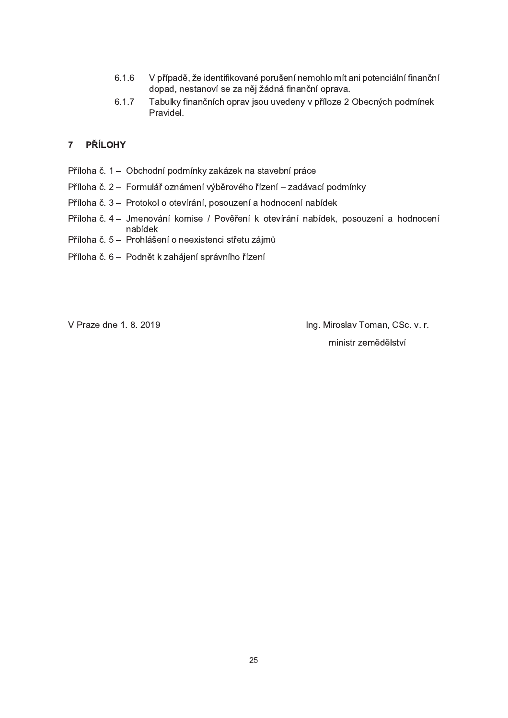- 6.1.6 V případě, že identifikované porušení nemohlo mít ani potenciální finanční dopad, nestanoví se za něj žádná finanční oprava.
- 6.1.7 Tabulky finančních oprav jsou uvedeny v příloze 2 Obecných podmínek Pravidel.

# 7 PŘÍLOHY

- Příloha č. 1 Obchodní podmínky zakázek na stavební práce
- Příloha č. 2 Formulář oznámení výběrového řízení zadávací podmínky
- Příloha č. 3 Protokol o otevírání, posouzení a hodnocení nabídek
- Příloha č. 4 Jmenování komise / Pověření k otevírání nabídek, posouzení a hodnocení nabídek
- Příloha č. 5 Prohlášení o neexistenci střetu zájmů
- Příloha č. 6 Podnět k zahájení správního řízení

V Praze dne 1. 8. 2019 " "The Microsoft Community Ing. Miroslav Toman, CSc. v. r. ministr zemědělství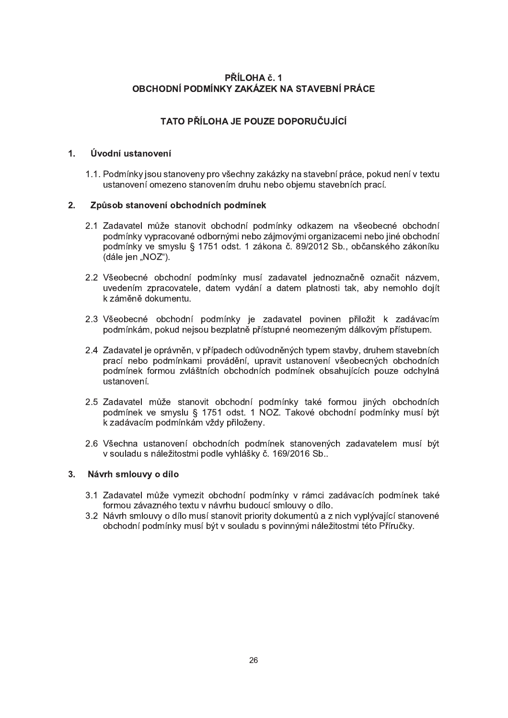# PŘÍLOHA č. 1 OBCHODNÍ PODMÍNKY ZAKÁZEK NA STAVEBNÍ PRÁCE

# TATO PŘÍLOHA JE POUZE DOPORUČUJÍCÍ

#### $1.$ Úvodní ustanovení

1.1. Podmínky jsou stanoveny pro všechny zakázky na stavební práce, pokud není v textu ustanovení omezeno stanovením druhu nebo obiemu stavebních prací.

#### $2.$ Způsob stanovení obchodních podmínek

- 2.1 Zadavatel může stanovit obchodní podmínky odkazem na všeobecné obchodní podmínky vypracované odbornými nebo zájmovými organizacemi nebo jiné obchodní podmínky ve smyslu § 1751 odst. 1 zákona č. 89/2012 Sb., občanského zákoníku (dále jen "NOZ").
- 2.2 Všeobecné obchodní podmínky musí zadavatel jednoznačně označit názvem, uvedením zpracovatele, datem vydání a datem platnosti tak, aby nemohlo dojít k záměně dokumentu.
- 2.3 Všeobecné obchodní podmínky je zadavatel povinen přiložit k zadávacím podmínkám, pokud nejsou bezplatně přístupné neomezeným dálkovým přístupem.
- 2.4 Zadavatel je oprávněn, v případech odůvodněných typem stavby, druhem stavebních prací nebo podmínkami provádění, upravit ustanovení všeobecných obchodních podmínek formou zvláštních obchodních podmínek obsahujících pouze odchylná ustanovení.
- 2.5 Zadavatel může stanovit obchodní podmínky také formou jiných obchodních podmínek ve smyslu § 1751 odst. 1 NOZ. Takové obchodní podmínky musí být k zadávacím podmínkám vždy přiloženy.
- 2.6 Všechna ustanovení obchodních podmínek stanovených zadavatelem musí být v souladu s náležitostmi podle vyhlášky č. 169/2016 Sb..

#### Návrh smlouvy o dílo  $3<sub>1</sub>$

- 3.1 Zadavatel může vymezit obchodní podmínky v rámci zadávacích podmínek také formou závazného textu v návrhu budoucí smlouvy o dílo.
- 3.2 Návrh smlouvy o dílo musí stanovit priority dokumentů a z nich vyplývající stanovené obchodní podmínky musí být v souladu s povinnými náležitostmi této Příručky.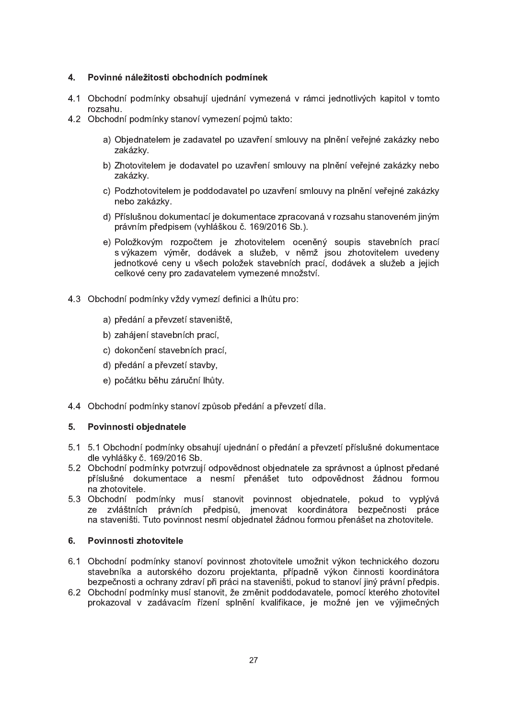#### $4<sub>1</sub>$ Povinné náležitosti obchodních podmínek

- 4.1 Obchodní podmínky obsahují ujednání vymezená v rámci jednotlivých kapitol v tomto rozsahu.
- 4.2 Obchodní podmínky stanoví vymezení pojmů takto:
	- a) Objednatelem je zadavatel po uzavření smlouvy na plnění veřejné zakázky nebo zakázky.
	- b) Zhotovitelem je dodavatel po uzavření smlouvy na plnění veřejné zakázky nebo zakázky.
	- c) Podzhotovitelem je poddodavatel po uzavření smlouvy na plnění veřejné zakázky nebo zakázky.
	- d) Příslušnou dokumentací je dokumentace zpracovaná v rozsahu stanoveném jiným právním předpisem (vyhláškou č. 169/2016 Sb.).
	- e) Položkovým rozpočtem je zhotovitelem oceněný soupis stavebních prací s výkazem výměr, dodávek a služeb, v němž jsou zhotovitelem uvedeny jednotkové ceny u všech položek stavebních prací, dodávek a služeb a jejich celkové ceny pro zadavatelem vymezené množství.
- 4.3 Obchodní podmínky vždy vymezí definici a lhůtu pro:
	- a) předání a převzetí staveniště,
	- b) zahájení stavebních prací,
	- c) dokončení stavebních prací,
	- d) předání a převzetí stavby,
	- e) počátku běhu záruční lhůty.
- 4.4 Obchodní podmínky stanoví způsob předání a převzetí díla.

#### $5.$ Povinnosti objednatele

- 5.1 5.1 Obchodní podmínky obsahují ujednání o předání a převzetí příslušné dokumentace dle vyhlášky č. 169/2016 Sb.
- 5.2 Obchodní podmínky potvrzují odpovědnost objednatele za správnost a úplnost předané příslušné dokumentace a nesmí přenášet tuto odpovědnost žádnou formou na zhotovitele.
- 5.3 Obchodní podmínky musí stanovit povinnost objednatele, pokud to vyplývá ze zvláštních právních předpisů, jmenovat koordinátora bezpečnosti práce na staveništi. Tuto povinnost nesmí objednatel žádnou formou přenášet na zhotovitele.

### 6. Povinnosti zhotovitele

- 6.1 Obchodní podmínky stanoví povinnost zhotovitele umožnit výkon technického dozoru stavebníka a autorského dozoru projektanta, případně výkon činnosti koordinátora bezpečnosti a ochrany zdraví při práci na staveništi, pokud to stanoví jiný právní předpis.
- 6.2 Obchodní podmínky musí stanovit, že změnit poddodavatele, pomocí kterého zhotovitel prokazoval v zadávacím řízení splnění kvalifikace, je možné jen ve výjimečných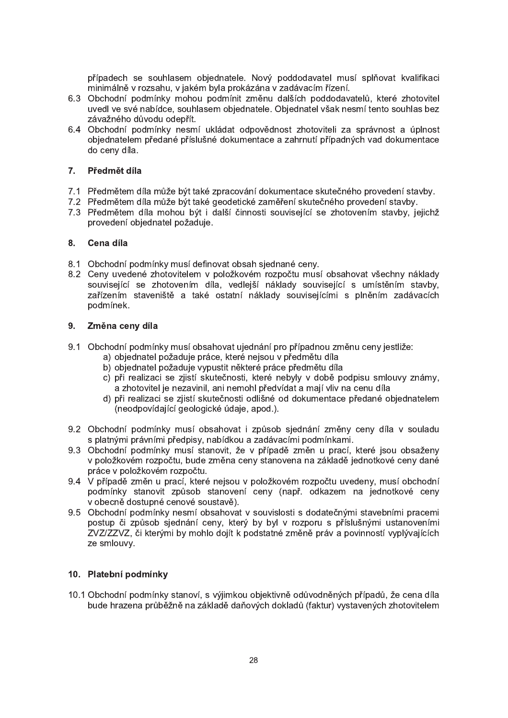případech se souhlasem objednatele. Nový poddodavatel musí splňovat kvalifikaci minimálně v rozsahu, v jakém byla prokázána v zadávacím řízení.

- 6.3 Obchodní podmínky mohou podmínit změnu dalších poddodavatelů, které zhotovitel uvedl ve své nabídce, souhlasem obiednatele. Obiednatel však nesmí tento souhlas bez závažného důvodu odepřít.
- 6.4 Obchodní podmínky nesmí ukládat odpovědnost zhotoviteli za správnost a úplnost objednatelem předané příslušné dokumentace a zahrnutí případných vad dokumentace do ceny díla.

## 7. Předmět díla

- 7.1 Předmětem díla může být také zpracování dokumentace skutečného provedení stavby.
- 7.2 Předmětem díla může být také geodetické zaměření skutečného provedení stavby.
- 7.3 Předmětem díla mohou být i další činnosti související se zhotovením stavby, jejichž provedení objednatel požaduje.

#### 8. Cena díla

- 8.1 Obchodní podmínky musí definovat obsah sjednané ceny.
- 8.2 Ceny uvedené zhotovitelem v položkovém rozpočtu musí obsahovat všechny náklady související se zhotovením díla, vedlejší náklady související s umístěním stavby, zařízením staveniště a také ostatní náklady souvisejícími s plněním zadávacích podmínek.

#### 9. Změna ceny díla

- 9.1 Obchodní podmínky musí obsahovat ujednání pro případnou změnu ceny jestliže:
	- a) objednatel požaduje práce, které nejsou v předmětu díla
	- b) objednatel požaduje vypustit některé práce předmětu díla
	- c) při realizaci se zjistí skutečnosti, které nebyly v době podpisu smlouvy známy, a zhotovitel je nezavinil, ani nemohl předvídat a mají vliv na cenu díla
	- d) při realizaci se zijstí skutečnosti odlišné od dokumentace předané objednatelem (neodpovídající geologické údaje, apod.).
- 9.2 Obchodní podmínky musí obsahovat i způsob sjednání změny ceny díla v souladu s platnými právními předpisy, nabídkou a zadávacími podmínkami.
- 9.3 Obchodní podmínky musí stanovit, že v případě změn u prací, které jsou obsaženy v položkovém rozpočtu, bude změna ceny stanovena na základě jednotkové ceny dané práce v položkovém rozpočtu.
- 9.4 V případě změn u prací, které nejsou v položkovém rozpočtu uvedeny, musí obchodní podmínky stanovit způsob stanovení ceny (např. odkazem na jednotkové ceny v obecně dostupné cenové soustavě).
- 9.5 Obchodní podmínky nesmí obsahovat v souvislosti s dodatečnými stavebními pracemi postup či způsob sjednání ceny, který by byl v rozporu s příslušnými ustanoveními ZVZ/ZZVZ, či kterými by mohlo dojít k podstatné změně práv a povinností vyplývajících ze smlouvy.

### 10. Platební podmínky

10.1 Obchodní podmínky stanoví, s výjimkou objektivně odůvodněných případů, že cena díla bude hrazena průběžně na základě daňových dokladů (faktur) vystavených zhotovitelem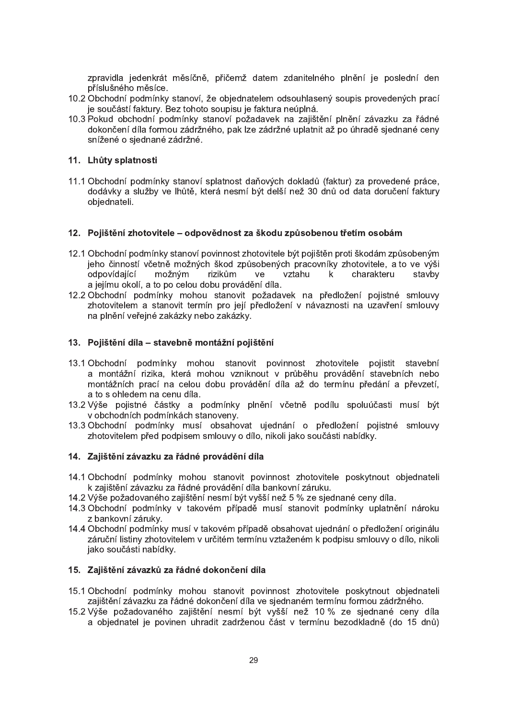zpravidla jedenkrát měsíčně, přičemž datem zdanitelného plnění je poslední den příslušného měsíce.

- 10.2 Obchodní podmínky stanoví, že objednatelem odsouhlasený soupis provedených prací je součástí faktury. Bez tohoto soupisu je faktura neúplná.
- 10.3 Pokud obchodní podmínky stanoví požadavek na zajištění plnění závazku za řádné dokončení díla formou zádržného, pak lze zádržné uplatnit až po úhradě siednané ceny snížené o sjednané zádržné.

## 11. Lhůty splatnosti

11.1 Obchodní podmínky stanoví splatnost daňových dokladů (faktur) za provedené práce, dodávky a služby ve lhůtě, která nesmí být delší než 30 dnů od data doručení faktury objednateli.

### 12. Pojištění zhotovitele – odpovědnost za škodu způsobenou třetím osobám

- 12.1 Obchodní podmínky stanoví povinnost zhotovitele být pojištěn proti škodám způsobeným jeho činností včetně možných škod způsobených pracovníky zhotovitele, a to ve výši odpovídající možným rizikům ve vztahu  $k$ charakteru stavby a jejímu okolí, a to po celou dobu provádění díla.
- 12.2 Obchodní podmínky mohou stanovit požadavek na předložení pojistné smlouvy zhotovitelem a stanovit termín pro její předložení v návaznosti na uzavření smlouvy na plnění veřejné zakázky nebo zakázky.

#### 13. Pojištění díla – stavebně montážní pojištění

- 13.1 Obchodní podmínky mohou stanovit povinnost zhotovitele pojistit stavební a montážní rizika, která mohou vzniknout v průběhu provádění stavebních nebo montážních prací na celou dobu provádění díla až do termínu předání a převzetí, a to s ohledem na cenu díla.
- 13.2 Výše pojistné částky a podmínky plnění včetně podílu spoluúčasti musí být v obchodních podmínkách stanoveny.
- 13.3 Obchodní podmínky musí obsahovat ujednání o předložení pojistné smlouvy zhotovitelem před podpisem smlouvy o dílo, nikoli jako součásti nabídky.

### 14. Zajištění závazku za řádné provádění díla

- 14.1 Obchodní podmínky mohou stanovit povinnost zhotovitele poskytnout objednateli k zajištění závazku za řádné provádění díla bankovní záruku.
- 14.2 Výše požadovaného zajištění nesmí být vyšší než 5 % ze sjednané ceny díla.
- 14.3 Obchodní podmínky v takovém případě musí stanovit podmínky uplatnění nároku z bankovní záruky.
- 14.4 Obchodní podmínky musí v takovém případě obsahovat ujednání o předložení originálu záruční listiny zhotovitelem v určitém termínu vztaženém k podpisu smlouvy o dílo, nikoli jako součásti nabídky.

# 15. Zajištění závazků za řádné dokončení díla

- 15.1 Obchodní podmínky mohou stanovit povinnost zhotovitele poskytnout objednateli zajištění závazku za řádné dokončení díla ve sjednaném termínu formou zádržného.
- 15.2 Výše požadovaného zajištění nesmí být vyšší než 10 % ze sjednané ceny díla a objednatel je povinen uhradit zadrženou část v termínu bezodkladně (do 15 dnů)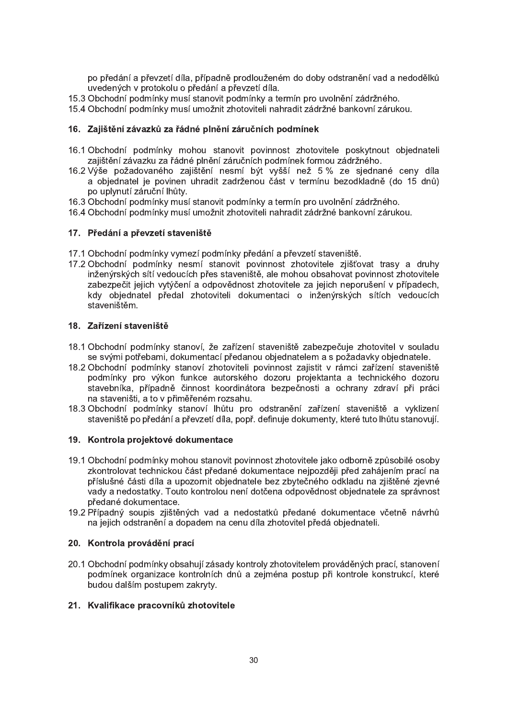po předání a převzetí díla, případně prodlouženém do doby odstranění vad a nedodělků uvedených v protokolu o předání a převzetí díla.

- 15.3 Obchodní podmínky musí stanovit podmínky a termín pro uvolnění zádržného.
- 15.4 Obchodní podmínky musí umožnit zhotoviteli nahradit zádržné bankovní zárukou.

## 16. Zajištění závazků za řádné plnění záručních podmínek

- 16.1 Obchodní podmínky mohou stanovit povinnost zhotovitele poskytnout objednateli zajištění závazku za řádné plnění záručních podmínek formou zádržného.
- 16.2 Výše požadovaného zajištění nesmí být vyšší než 5 % ze sjednané ceny díla a objednatel je povinen uhradit zadrženou část v termínu bezodkladně (do 15 dnů) po uplynutí záruční lhůtv.
- 16.3 Obchodní podmínky musí stanovit podmínky a termín pro uvolnění zádržného.
- 16.4 Obchodní podmínky musí umožnit zhotoviteli nahradit zádržné bankovní zárukou.

## 17. Předání a převzetí staveniště

- 17.1 Obchodní podmínky vymezí podmínky předání a převzetí staveniště.
- 17.2 Obchodní podmínky nesmí stanovit povinnost zhotovitele zjišťovat trasy a druhy inženýrských sítí vedoucích přes staveniště, ale mohou obsahovat povinnost zhotovitele zabezpečit jejich vytýčení a odpovědnost zhotovitele za jejich neporušení v případech, kdy objednatel předal zhotoviteli dokumentaci o inženýrských sítích vedoucích staveništěm.

### 18. Zařízení staveniště

- 18.1 Obchodní podmínky stanoví, že zařízení staveniště zabezpečuje zhotovitel v souladu se svými potřebami, dokumentací předanou objednatelem a s požadavky objednatele.
- 18.2 Obchodní podmínky stanoví zhotoviteli povinnost zajistit v rámci zařízení staveniště podmínky pro výkon funkce autorského dozoru projektanta a technického dozoru stavebníka, případně činnost koordinátora bezpečnosti a ochrany zdraví při práci na staveništi, a to v přiměřeném rozsahu.
- 18.3 Obchodní podmínky stanoví lhůtu pro odstranění zařízení staveniště a vyklizení staveniště po předání a převzetí díla, popř. definuje dokumenty, které tuto lhůtu stanovují.

### 19. Kontrola projektové dokumentace

- 19.1 Obchodní podmínky mohou stanovit povinnost zhotovitele jako odborně způsobilé osoby zkontrolovat technickou část předané dokumentace nejpozději před zahájením prací na příslušné části díla a upozornit objednatele bez zbytečného odkladu na zjištěné zjevné vady a nedostatky. Touto kontrolou není dotčena odpovědnost objednatele za správnost předané dokumentace.
- 19.2 Případný soupis zjištěných vad a nedostatků předané dokumentace včetně návrhů na jejich odstranění a dopadem na cenu díla zhotovitel předá objednateli.

### 20. Kontrola provádění prací

20.1 Obchodní podmínky obsahují zásady kontroly zhotovitelem prováděných prací, stanovení podmínek organizace kontrolních dnů a zejména postup při kontrole konstrukcí, které budou dalším postupem zakryty.

### 21. Kvalifikace pracovníků zhotovitele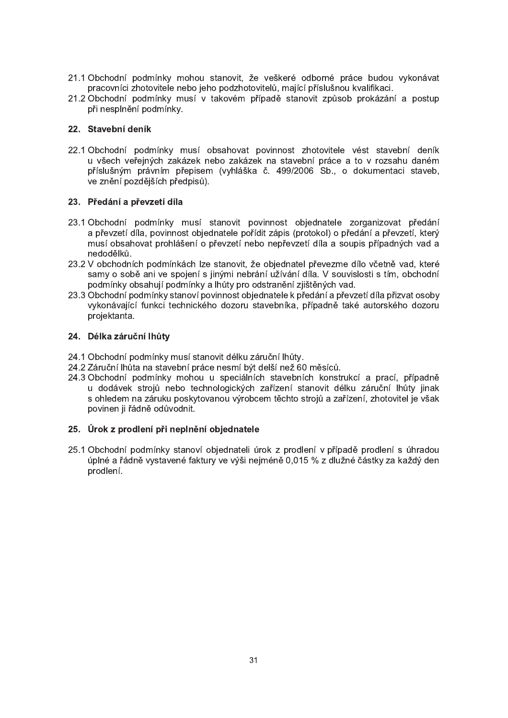- 21.1 Obchodní podmínky mohou stanovit, že veškeré odborné práce budou vykonávat pracovníci zhotovitele nebo jeho podzhotovitelů, mající příslušnou kvalifikaci.
- 21.2 Obchodní podmínky musí v takovém případě stanovit způsob prokázání a postup při nesplnění podmínky.

## 22. Stavební deník

22.1 Obchodní podmínky musí obsahovat povinnost zhotovitele vést stavební deník u všech veřejných zakázek nebo zakázek na stavební práce a to v rozsahu daném příslušným právním přepisem (vyhláška č. 499/2006 Sb., o dokumentaci staveb, ve znění pozdějších předpisů).

## 23. Předání a převzetí díla

- 23.1 Obchodní podmínky musí stanovit povinnost objednatele zorganizovat předání a převzetí díla, povinnost objednatele pořídit zápis (protokol) o předání a převzetí, který musí obsahovat prohlášení o převzetí nebo nepřevzetí díla a soupis případných vad a nedodělků.
- 23.2 V obchodních podmínkách lze stanovit, že objednatel převezme dílo včetně vad, které samy o sobě ani ve spojení s jinými nebrání užívání díla. V souvislosti s tím, obchodní podmínky obsahují podmínky a lhůty pro odstranění zjištěných vad.
- 23.3 Obchodní podmínky stanoví povinnost objednatele k předání a převzetí díla přizvat osoby vykonávající funkci technického dozoru stavebníka, případně také autorského dozoru projektanta.

## 24. Délka záruční lhůty

- 24.1 Obchodní podmínky musí stanovit délku záruční lhůtv.
- 24.2 Záruční lhůta na stavební práce nesmí být delší než 60 měsíců.
- 24.3 Obchodní podmínky mohou u speciálních stavebních konstrukcí a prací, případně u dodávek strojů nebo technologických zařízení stanovit délku záruční lhůty jinak s ohledem na záruku poskytovanou výrobcem těchto strojů a zařízení, zhotovitel je však povinen ji řádně odůvodnit.

# 25. Úrok z prodlení při neplnění objednatele

25.1 Obchodní podmínky stanoví objednateli úrok z prodlení v případě prodlení s úhradou úplné a řádně vystavené faktury ve výši nejméně 0,015 % z dlužné částky za každý den prodlení.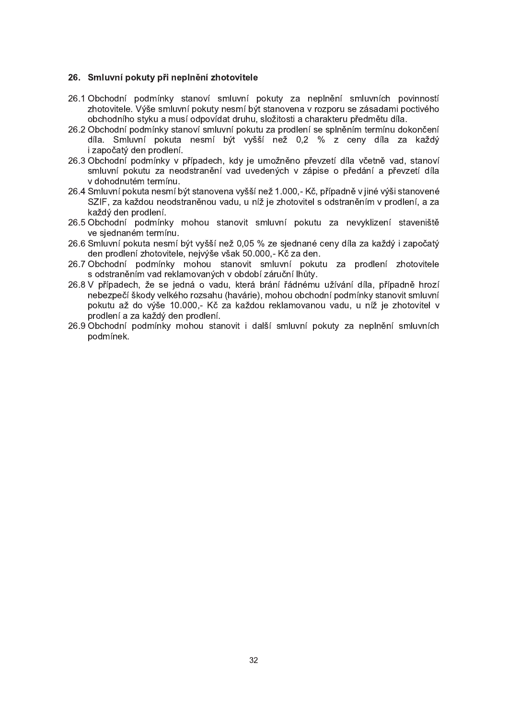#### 26. Smluvní pokuty při neplnění zhotovitele

- 26.1 Obchodní podmínky stanoví smluvní pokuty za neplnění smluvních povinností zhotovitele. Výše smluvní pokuty nesmí být stanovena v rozporu se zásadami poctivého obchodního stvku a musí odpovídat druhu. složitosti a charakteru předmětu díla.
- 26.2 Obchodní podmínky stanoví smluvní pokutu za prodlení se splněním termínu dokončení díla. Smluvní pokuta nesmí být vyšší než 0,2 % z ceny díla za každý i započatý den prodlení.
- 26.3 Obchodní podmínky v případech, kdy je umožněno převzetí díla včetně vad, stanoví smluvní pokutu za neodstranění vad uvedených v zápise o předání a převzetí díla v dohodnutém termínu.
- 26.4 Smluvní pokuta nesmí být stanovena vyšší než 1.000,- Kč, případně v jiné výši stanovené SZIF, za každou neodstraněnou vadu, u níž je zhotovitel s odstraněním v prodlení, a za každý den prodlení.
- 26.5 Obchodní podmínky mohou stanovit smluvní pokutu za nevyklizení staveniště ve siednaném termínu.
- 26.6 Smluvní pokuta nesmí být vyšší než 0,05 % ze sjednané ceny díla za každý i započatý den prodlení zhotovitele, nejvýše však 50.000,- Kč za den.
- 26.7 Obchodní podmínky mohou stanovit smluvní pokutu za prodlení zhotovitele s odstraněním vad reklamovaných v období záruční lhůty.
- 26.8 V případech, že se jedná o vadu, která brání řádnému užívání díla, případně hrozí nebezpečí škody velkého rozsahu (havárie), mohou obchodní podmínky stanovit smluvní pokutu až do výše 10.000,- Kč za každou reklamovanou vadu, u níž je zhotovitel v prodlení a za každý den prodlení.
- 26.9 Obchodní podmínky mohou stanovit i další smluvní pokuty za neplnění smluvních podmínek.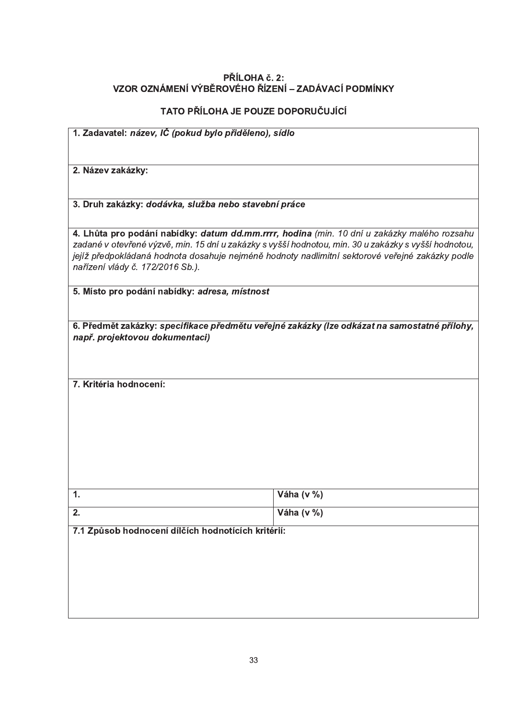# PŘÍLOHA č. 2:<br>VZOR OZNÁMENÍ VÝBĚROVÉHO ŘÍZENÍ – ZADÁVACÍ PODMÍNKY

# TATO PŘÍLOHA JE POUZE DOPORUČUJÍCÍ

| 1. Zadavatel: název, IČ (pokud bylo přiděleno), sídlo                                                                                                                                                                                                                                                                                      |            |  |  |
|--------------------------------------------------------------------------------------------------------------------------------------------------------------------------------------------------------------------------------------------------------------------------------------------------------------------------------------------|------------|--|--|
|                                                                                                                                                                                                                                                                                                                                            |            |  |  |
| 2. Název zakázky:                                                                                                                                                                                                                                                                                                                          |            |  |  |
|                                                                                                                                                                                                                                                                                                                                            |            |  |  |
| 3. Druh zakázky: dodávka, služba nebo stavební práce                                                                                                                                                                                                                                                                                       |            |  |  |
| 4. Lhůta pro podání nabídky: datum dd.mm.rrrr, hodina (min. 10 dní u zakázky malého rozsahu<br>zadané v otevřené výzvě, min. 15 dní u zakázky s vyšší hodnotou, min. 30 u zakázky s vyšší hodnotou,<br>jejíž předpokládaná hodnota dosahuje nejméně hodnoty nadlimitní sektorové veřejné zakázky podle<br>nařízení vlády č. 172/2016 Sb.). |            |  |  |
| 5. Místo pro podání nabídky: adresa, místnost                                                                                                                                                                                                                                                                                              |            |  |  |
| 6. Předmět zakázky: specifikace předmětu veřejné zakázky (lze odkázat na samostatné přílohy,<br>např. projektovou dokumentaci)                                                                                                                                                                                                             |            |  |  |
| 7. Kritéria hodnocení:                                                                                                                                                                                                                                                                                                                     |            |  |  |
|                                                                                                                                                                                                                                                                                                                                            |            |  |  |
|                                                                                                                                                                                                                                                                                                                                            |            |  |  |
|                                                                                                                                                                                                                                                                                                                                            |            |  |  |
|                                                                                                                                                                                                                                                                                                                                            |            |  |  |
|                                                                                                                                                                                                                                                                                                                                            |            |  |  |
| 1.                                                                                                                                                                                                                                                                                                                                         | Váha (v %) |  |  |
| 2.                                                                                                                                                                                                                                                                                                                                         | Váha (v %) |  |  |
| 7.1 Způsob hodnocení dílčích hodnotících kritérií:                                                                                                                                                                                                                                                                                         |            |  |  |
|                                                                                                                                                                                                                                                                                                                                            |            |  |  |
|                                                                                                                                                                                                                                                                                                                                            |            |  |  |
|                                                                                                                                                                                                                                                                                                                                            |            |  |  |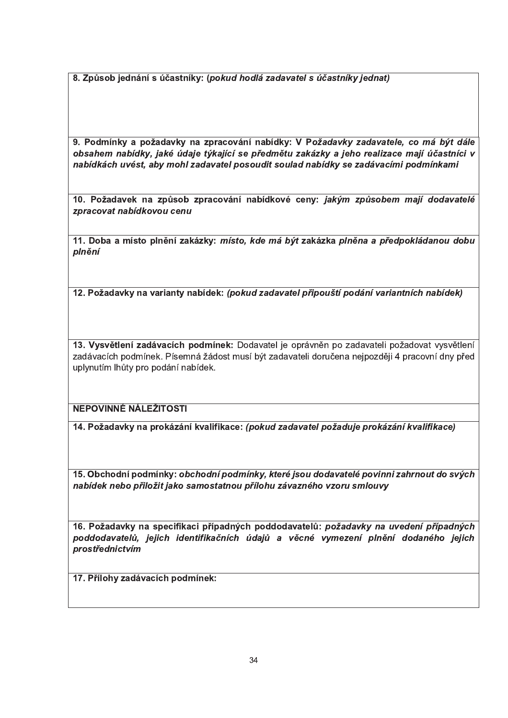8. Způsob jednání s účastníky: (pokud hodlá zadavatel s účastníky jednat)

9. Podmínky a požadavky na zpracování nabídky: V Požadavky zadavatele, co má být dále obsahem nabídky, jaké údaje týkající se předmětu zakázky a jeho realizace mají účastníci v nabídkách uvést, aby mohl zadavatel posoudit soulad nabídky se zadávacími podmínkami

10. Požadavek na způsob zpracování nabídkové ceny: jakým způsobem mají dodavatelé zpracovat nabídkovou cenu

11. Doba a místo plnění zakázky: místo, kde má být zakázka plněna a předpokládanou dobu plnění

12. Požadavky na varianty nabídek: (pokud zadavatel připouští podání variantních nabídek)

13. Vysvětlení zadávacích podmínek: Dodavatel je oprávněn po zadavateli požadovat vysvětlení zadávacích podmínek. Písemná žádost musí být zadavateli doručena nejpozději 4 pracovní dny před uplynutím lhůty pro podání nabídek.

NEPOVINNÉ NÁLEŽITOSTI

14. Požadavky na prokázání kvalifikace: (pokud zadavatel požaduje prokázání kvalifikace)

15. Obchodní podmínky: obchodní podmínky, které jsou dodavatelé povinni zahrnout do svých nabídek nebo přiložit jako samostatnou přílohu závazného vzoru smlouvy

16. Požadavky na specifikaci případných poddodavatelů: požadavky na uvedení případných poddodavatelů, jejich identifikačních údajů a věcné vymezení plnění dodaného jejich prostřednictvím

17. Přílohy zadávacích podmínek: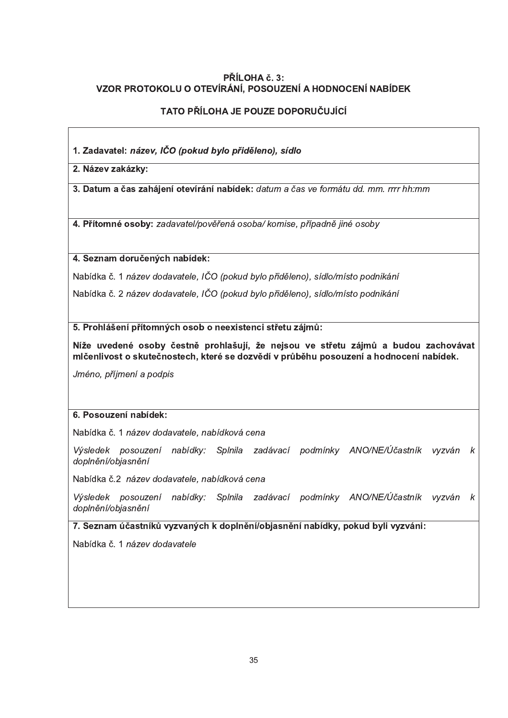# PŘÍLOHA č. 3: VZOR PROTOKOLU O OTEVÍRÁNÍ, POSOUZENÍ A HODNOCENÍ NABÍDEK

# TATO PŘÍLOHA JE POUZE DOPORUČUJÍCÍ

1. Zadavatel: název, IČO (pokud bylo přiděleno), sídlo

2. Název zakázky:

3. Datum a čas zahájení otevírání nabídek: datum a čas ve formátu dd. mm. rrrr hh:mm

4. Přítomné osoby: zadavatel/pověřená osoba/ komise, případně jiné osoby

4. Seznam doručených nabídek:

Nabídka č. 1 název dodavatele, IČO (pokud bylo přiděleno), sídlo/místo podnikání

Nabídka č. 2 název dodavatele, IČO (pokud bylo přiděleno), sídlo/místo podnikání

5. Prohlášení přítomných osob o neexistenci střetu zájmů:

Níže uvedené osoby čestně prohlašují, že nejsou ve střetu zájmů a budou zachovávat mlčenlivost o skutečnostech, které se dozvědí v průběhu posouzení a hodnocení nabídek.

Jméno, příjmení a podpis

# 6. Posouzení nabídek:

Nabídka č. 1 název dodavatele, nabídková cena

Výsledek posouzení nabídky: Splnila zadávací podmínky ANO/NE/Účastník vyzván k doplnění/objasnění

Nabídka č.2 název dodavatele, nabídková cena

Výsledek posouzení nabídky: Splnila zadávací podmínky ANO/NE/Účastník vyzván  $\boldsymbol{k}$ doplnění/objasnění

7. Seznam účastníků vyzvaných k doplnění/objasnění nabídky, pokud byli vyzváni:

Nabídka č. 1 název dodavatele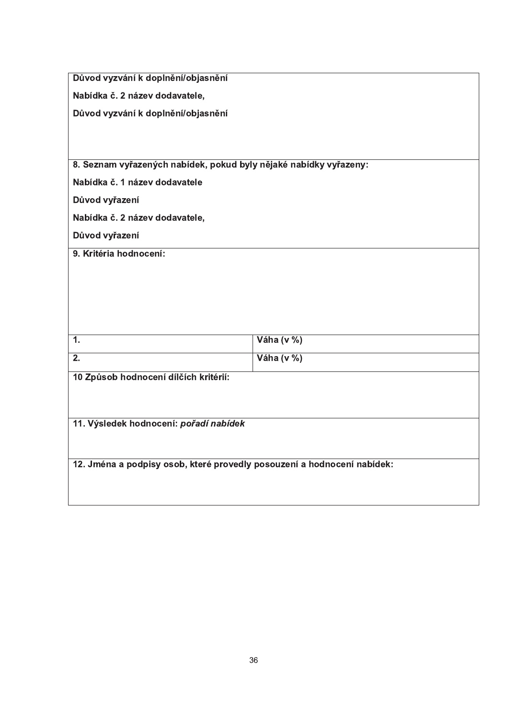|                                                                         | Důvod vyzvání k doplnění/objasnění |  |  |  |
|-------------------------------------------------------------------------|------------------------------------|--|--|--|
| Nabídka č. 2 název dodavatele,                                          |                                    |  |  |  |
| Důvod vyzvání k doplnění/objasnění                                      |                                    |  |  |  |
|                                                                         |                                    |  |  |  |
|                                                                         |                                    |  |  |  |
| 8. Seznam vyřazených nabídek, pokud byly nějaké nabídky vyřazeny:       |                                    |  |  |  |
| Nabídka č. 1 název dodavatele                                           |                                    |  |  |  |
| Důvod vyřazení                                                          |                                    |  |  |  |
| Nabídka č. 2 název dodavatele,                                          |                                    |  |  |  |
| Důvod vyřazení                                                          |                                    |  |  |  |
| 9. Kritéria hodnocení:                                                  |                                    |  |  |  |
|                                                                         |                                    |  |  |  |
|                                                                         |                                    |  |  |  |
|                                                                         |                                    |  |  |  |
|                                                                         |                                    |  |  |  |
| 1.                                                                      | Váha (v %)                         |  |  |  |
| $\overline{2}$ .                                                        | Váha (v %)                         |  |  |  |
|                                                                         |                                    |  |  |  |
| 10 Způsob hodnocení dílčích kritérií:                                   |                                    |  |  |  |
|                                                                         |                                    |  |  |  |
|                                                                         |                                    |  |  |  |
| 11. Výsledek hodnocení: pořadí nabídek                                  |                                    |  |  |  |
|                                                                         |                                    |  |  |  |
| 12. Jména a podpisy osob, které provedly posouzení a hodnocení nabídek: |                                    |  |  |  |
|                                                                         |                                    |  |  |  |
|                                                                         |                                    |  |  |  |
|                                                                         |                                    |  |  |  |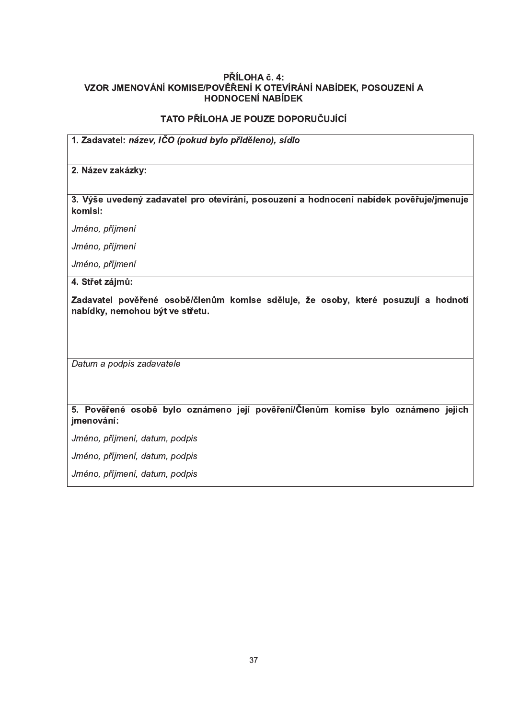## PŘÍLOHA č. 4: VZOR JMENOVÁNÍ KOMISE/POVĚŘENÍ K OTEVÍRÁNÍ NABÍDEK, POSOUZENÍ A HODNOCENÍ NABÍDEK

# TATO PŘÍLOHA JE POUZE DOPORUČUJÍCÍ

# 1. Zadavatel: název, IČO (pokud bylo přiděleno), sídlo

### 2. Název zakázky:

3. Výše uvedený zadavatel pro otevírání, posouzení a hodnocení nabídek pověřuje/jmenuje komisi:

Jméno, příjmení

Jméno, příjmení

Jméno, příjmení

4. Střet zájmů:

Zadavatel pověřené osobě/členům komise sděluje, že osoby, které posuzují a hodnotí nabídky, nemohou být ve střetu.

Datum a podpis zadavatele

# 5. Pověřené osobě bylo oznámeno její pověření/Členům komise bylo oznámeno jejich jmenování:

Jméno, příjmení, datum, podpis

Jméno, příjmení, datum, podpis

Jméno, příjmení, datum, podpis

" "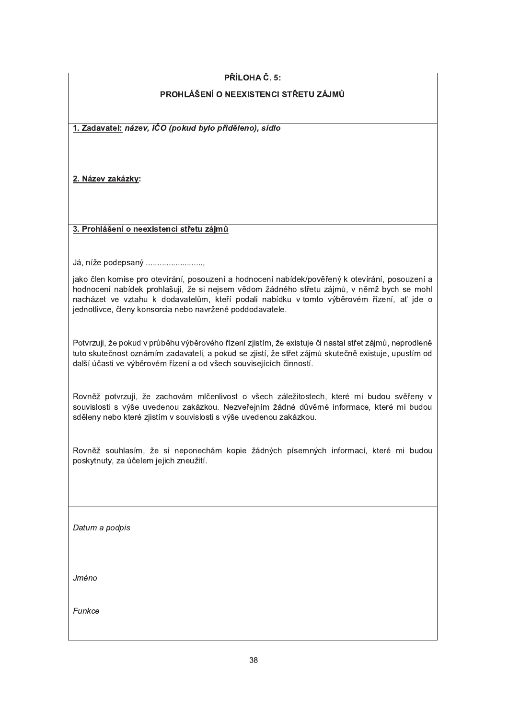## PŘÍLOHA Č. 5:

## PROHLÁŠENÍ O NEEXISTENCI STŘETU ZÁJMŮ

1. Zadavatel: název, IČO (pokud bylo přiděleno), sídlo

2. Název zakázky:

### 3. Prohlášení o neexistenci střetu zájmů

Já, níže podepsaný ..........................

jako člen komise pro otevírání, posouzení a hodnocení nabídek/pověřený k otevírání, posouzení a hodnocení nabídek prohlašuji, že si nejsem vědom žádného střetu zájmů, v němž bych se mohl nacházet ve vztahu k dodavatelům, kteří podali nabídku v tomto výběrovém řízení, ať jde o jednotlivce, členy konsorcia nebo navržené poddodavatele.

Potvrzuji, že pokud v průběhu výběrového řízení zjistím, že existuje či nastal střet zájmů, neprodleně tuto skutečnost oznámím zadavateli, a pokud se zjistí, že střet zájmů skutečně existuje, upustím od další účasti ve výběrovém řízení a od všech souvisejících činností.

Rovněž potvrzuji, že zachovám mlčenlivost o všech záležitostech, které mi budou svěřeny v souvislosti s výše uvedenou zakázkou. Nezveřejním žádné důvěrné informace, které mi budou sděleny nebo které zjistím v souvislosti s výše uvedenou zakázkou.

Rovněž souhlasím, že si neponechám kopie žádných písemných informací, které mi budou poskytnuty, za účelem jejich zneužití.

Datum a podpis

Jméno

Funkce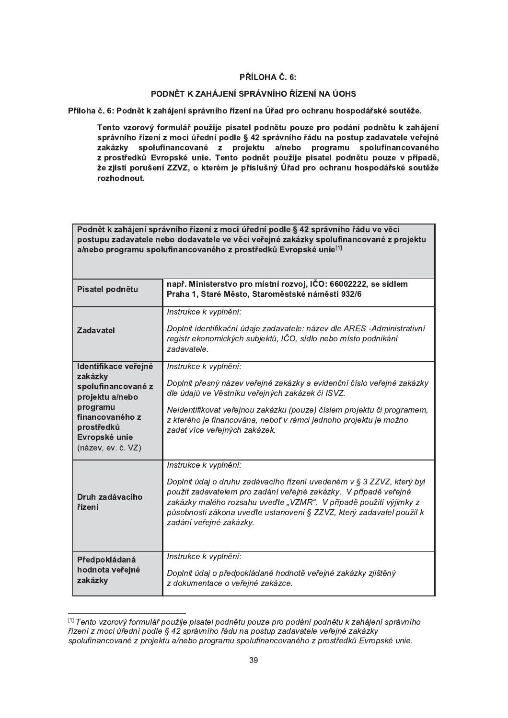#### PŘÍLOHA Č. 6:

#### PODNĚT K ZAHÁJENÍ SPRÁVNÍHO ŘÍZENÍ NA ÚOHS

Příloha č. 6: Podnět k zahájení správního řízení na Úřad pro ochranu hospodářské soutěže.

Tento vzorový formulář použije pisatel podnětu pouze pro podání podnětu k zahájení správního řízení z moci úřední podle § 42 správního řádu na postup zadavatele veřejné zakázky spolufinancované z projektu a/nebo programu spolufinancovaného<br>z prostředků Evropské unie. Tento podnět použije pisatel podnětu pouze v případě, že zjistí porušení ZZVZ, o kterém je příslušný Úřad pro ochranu hospodářské soutěže rozhodnout.

| Podnět k zahájení správního řízení z moci úřední podle § 42 správního řádu ve věci     |                                                                                                                                           |  |  |  |  |
|----------------------------------------------------------------------------------------|-------------------------------------------------------------------------------------------------------------------------------------------|--|--|--|--|
| postupu zadavatele nebo dodavatele ve věci veřejné zakázky spolufinancované z projektu |                                                                                                                                           |  |  |  |  |
| a/nebo programu spolufinancovaného z prostředků Evropské unie <sup>[1]</sup>           |                                                                                                                                           |  |  |  |  |
|                                                                                        |                                                                                                                                           |  |  |  |  |
| Pisatel podnětu                                                                        | např. Ministerstvo pro místní rozvoj, IČO: 66002222, se sídlem                                                                            |  |  |  |  |
|                                                                                        | Praha 1, Staré Město, Staroměstské náměstí 932/6                                                                                          |  |  |  |  |
|                                                                                        | Instrukce k vyplnění:                                                                                                                     |  |  |  |  |
| <b>Zadavatel</b>                                                                       | Doplnit identifikační údaje zadavatele: název dle ARES-Administrativní                                                                    |  |  |  |  |
|                                                                                        | registr ekonomických subjektů, IČO, sídlo nebo místo podnikání                                                                            |  |  |  |  |
|                                                                                        | zadavatele.                                                                                                                               |  |  |  |  |
| Identifikace veřejné                                                                   | Instrukce k vyplnění:                                                                                                                     |  |  |  |  |
| zakázky<br>spolufinancované z                                                          | Doplnit přesný název veřejné zakázky a evidenční číslo veřejné zakázky                                                                    |  |  |  |  |
| projektu a/nebo                                                                        | dle údajů ve Věstníku veřejných zakázek či ISVZ.                                                                                          |  |  |  |  |
| programu<br>financovaného z                                                            | Neidentifikovat veřejnou zakázku (pouze) číslem projektu či programem,                                                                    |  |  |  |  |
| prostředků                                                                             | z kterého je financována, neboť v rámci jednoho projektu je možno<br>zadat více veřejných zakázek.                                        |  |  |  |  |
| Evropské unie                                                                          |                                                                                                                                           |  |  |  |  |
| (název, ev. č. VZ)                                                                     |                                                                                                                                           |  |  |  |  |
|                                                                                        | Instrukce k vyplnění:                                                                                                                     |  |  |  |  |
|                                                                                        | Doplnit údaj o druhu zadávacího řízení uvedeném v § 3 ZZVZ, který byl                                                                     |  |  |  |  |
| Druh zadávacího                                                                        | použit zadavatelem pro zadání veřejné zakázky. V případě veřejné                                                                          |  |  |  |  |
| řízení                                                                                 | zakázky malého rozsahu uveďte "VZMR". V případě použití výjimky z<br>působnosti zákona uveďte ustanovení § ZZVZ, který zadavatel použil k |  |  |  |  |
|                                                                                        | zadání veřejné zakázky.                                                                                                                   |  |  |  |  |
|                                                                                        |                                                                                                                                           |  |  |  |  |
|                                                                                        |                                                                                                                                           |  |  |  |  |
| Předpokládaná                                                                          | Instrukce k vyplnění:                                                                                                                     |  |  |  |  |
| hodnota veřejné<br>zakázky                                                             | Doplnit údaj o předpokládané hodnotě veřejné zakázky zjištěný                                                                             |  |  |  |  |
|                                                                                        | z dokumentace o veřejné zakázce.                                                                                                          |  |  |  |  |

<sup>[1]</sup> Tento vzorový formulář použije pisatel podnětu pouze pro podání podnětu k zahájení správního řízení z moci úřední podle § 42 správního řádu na postup zadavatele veřejné zakázky spolufinancované z projektu a/nebo programu spolufinancovaného z prostředků Evropské unie.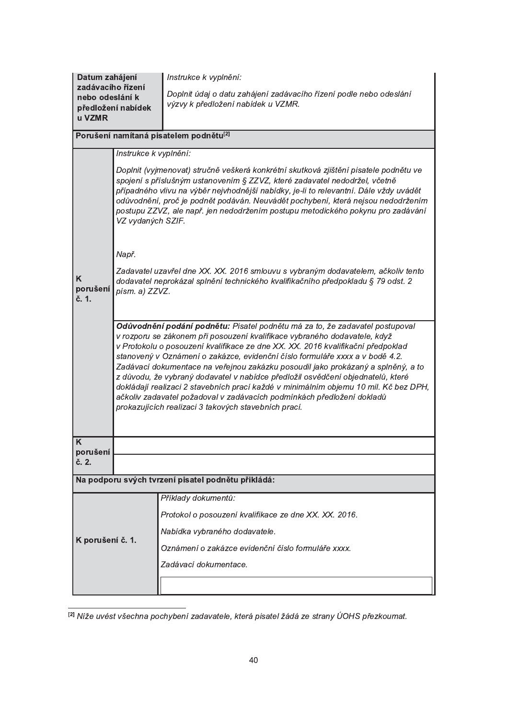| Datum zahájení                                     |                                                                                                                                                                                                                                                                                                                                                                                                                                                                                                                                                                                                                                                                                                                               | Instrukce k vyplnění:                                                                                                                                                                                                                                                                                                                                                                                                              |  |  |  |  |
|----------------------------------------------------|-------------------------------------------------------------------------------------------------------------------------------------------------------------------------------------------------------------------------------------------------------------------------------------------------------------------------------------------------------------------------------------------------------------------------------------------------------------------------------------------------------------------------------------------------------------------------------------------------------------------------------------------------------------------------------------------------------------------------------|------------------------------------------------------------------------------------------------------------------------------------------------------------------------------------------------------------------------------------------------------------------------------------------------------------------------------------------------------------------------------------------------------------------------------------|--|--|--|--|
| zadávacího řízení<br>nebo odeslání k<br>u VZMR     | předložení nabídek                                                                                                                                                                                                                                                                                                                                                                                                                                                                                                                                                                                                                                                                                                            | Doplnit údaj o datu zahájení zadávacího řízení podle nebo odeslání<br>výzvy k předložení nabídek u VZMR.                                                                                                                                                                                                                                                                                                                           |  |  |  |  |
| Porušení namítaná pisatelem podnětu <sup>[2]</sup> |                                                                                                                                                                                                                                                                                                                                                                                                                                                                                                                                                                                                                                                                                                                               |                                                                                                                                                                                                                                                                                                                                                                                                                                    |  |  |  |  |
|                                                    | Instrukce k vyplnění:                                                                                                                                                                                                                                                                                                                                                                                                                                                                                                                                                                                                                                                                                                         |                                                                                                                                                                                                                                                                                                                                                                                                                                    |  |  |  |  |
|                                                    | VZ vydaných SZIF.                                                                                                                                                                                                                                                                                                                                                                                                                                                                                                                                                                                                                                                                                                             | Doplnit (vyjmenovat) stručně veškerá konkrétní skutková zjištění pisatele podnětu ve<br>spojení s příslušným ustanovením § ZZVZ, které zadavatel nedodržel, včetně<br>případného vlivu na výběr nejvhodnější nabídky, je-li to relevantní. Dále vždy uvádět<br>odůvodnění, proč je podnět podáván. Neuvádět pochybení, která nejsou nedodržením<br>postupu ZZVZ, ale např. jen nedodržením postupu metodického pokynu pro zadávání |  |  |  |  |
|                                                    | Např.                                                                                                                                                                                                                                                                                                                                                                                                                                                                                                                                                                                                                                                                                                                         |                                                                                                                                                                                                                                                                                                                                                                                                                                    |  |  |  |  |
| K<br>porušení<br>č. 1.                             | písm. a) ZZVZ.                                                                                                                                                                                                                                                                                                                                                                                                                                                                                                                                                                                                                                                                                                                | Zadavatel uzavřel dne XX. XX. 2016 smlouvu s vybraným dodavatelem, ačkoliv tento<br>dodavatel neprokázal splnění technického kvalifikačního předpokladu § 79 odst. 2                                                                                                                                                                                                                                                               |  |  |  |  |
|                                                    | Odůvodnění podání podnětu: Pisatel podnětu má za to, že zadavatel postupoval<br>v rozporu se zákonem při posouzení kvalifikace vybraného dodavatele, když<br>v Protokolu o posouzení kvalifikace ze dne XX. XX. 2016 kvalifikační předpoklad<br>stanovený v Oznámení o zakázce, evidenční číslo formuláře xxxx a v bodě 4.2.<br>Zadávací dokumentace na veřejnou zakázku posoudil jako prokázaný a splněný, a to<br>z důvodu, že vybraný dodavatel v nabídce předložil osvědčení objednatelů, které<br>dokládají realizaci 2 stavebních prací každé v minimálním objemu 10 mil. Kč bez DPH,<br>ačkoliv zadavatel požadoval v zadávacích podmínkách předložení dokladů<br>prokazujících realizaci 3 takových stavebních prací. |                                                                                                                                                                                                                                                                                                                                                                                                                                    |  |  |  |  |
| K<br>porušení                                      |                                                                                                                                                                                                                                                                                                                                                                                                                                                                                                                                                                                                                                                                                                                               |                                                                                                                                                                                                                                                                                                                                                                                                                                    |  |  |  |  |
| č. 2.                                              |                                                                                                                                                                                                                                                                                                                                                                                                                                                                                                                                                                                                                                                                                                                               |                                                                                                                                                                                                                                                                                                                                                                                                                                    |  |  |  |  |
|                                                    |                                                                                                                                                                                                                                                                                                                                                                                                                                                                                                                                                                                                                                                                                                                               | Na podporu svých tvrzení pisatel podnětu přikládá:                                                                                                                                                                                                                                                                                                                                                                                 |  |  |  |  |
|                                                    |                                                                                                                                                                                                                                                                                                                                                                                                                                                                                                                                                                                                                                                                                                                               | Příklady dokumentů:                                                                                                                                                                                                                                                                                                                                                                                                                |  |  |  |  |
|                                                    |                                                                                                                                                                                                                                                                                                                                                                                                                                                                                                                                                                                                                                                                                                                               | Protokol o posouzení kvalifikace ze dne XX. XX. 2016.                                                                                                                                                                                                                                                                                                                                                                              |  |  |  |  |
| K porušení č. 1.                                   |                                                                                                                                                                                                                                                                                                                                                                                                                                                                                                                                                                                                                                                                                                                               | Nabídka vybraného dodavatele.                                                                                                                                                                                                                                                                                                                                                                                                      |  |  |  |  |
|                                                    |                                                                                                                                                                                                                                                                                                                                                                                                                                                                                                                                                                                                                                                                                                                               | Oznámení o zakázce evidenční číslo formuláře xxxx.                                                                                                                                                                                                                                                                                                                                                                                 |  |  |  |  |
|                                                    |                                                                                                                                                                                                                                                                                                                                                                                                                                                                                                                                                                                                                                                                                                                               | Zadávací dokumentace.                                                                                                                                                                                                                                                                                                                                                                                                              |  |  |  |  |
|                                                    |                                                                                                                                                                                                                                                                                                                                                                                                                                                                                                                                                                                                                                                                                                                               |                                                                                                                                                                                                                                                                                                                                                                                                                                    |  |  |  |  |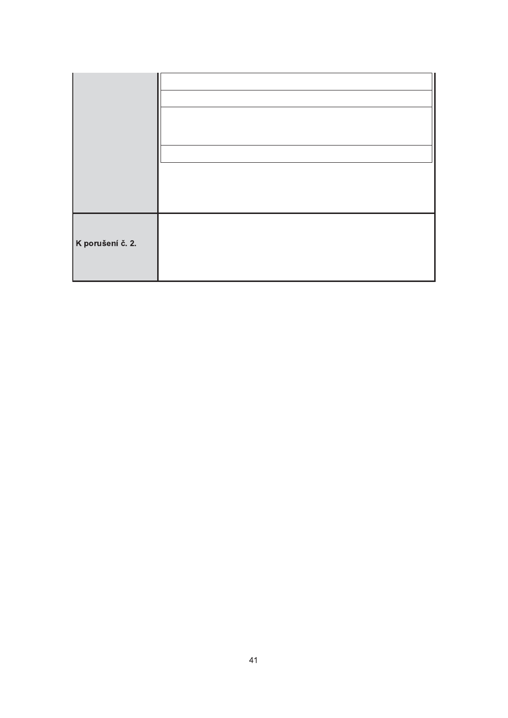| K porušení č. 2. |  |
|------------------|--|
|                  |  |